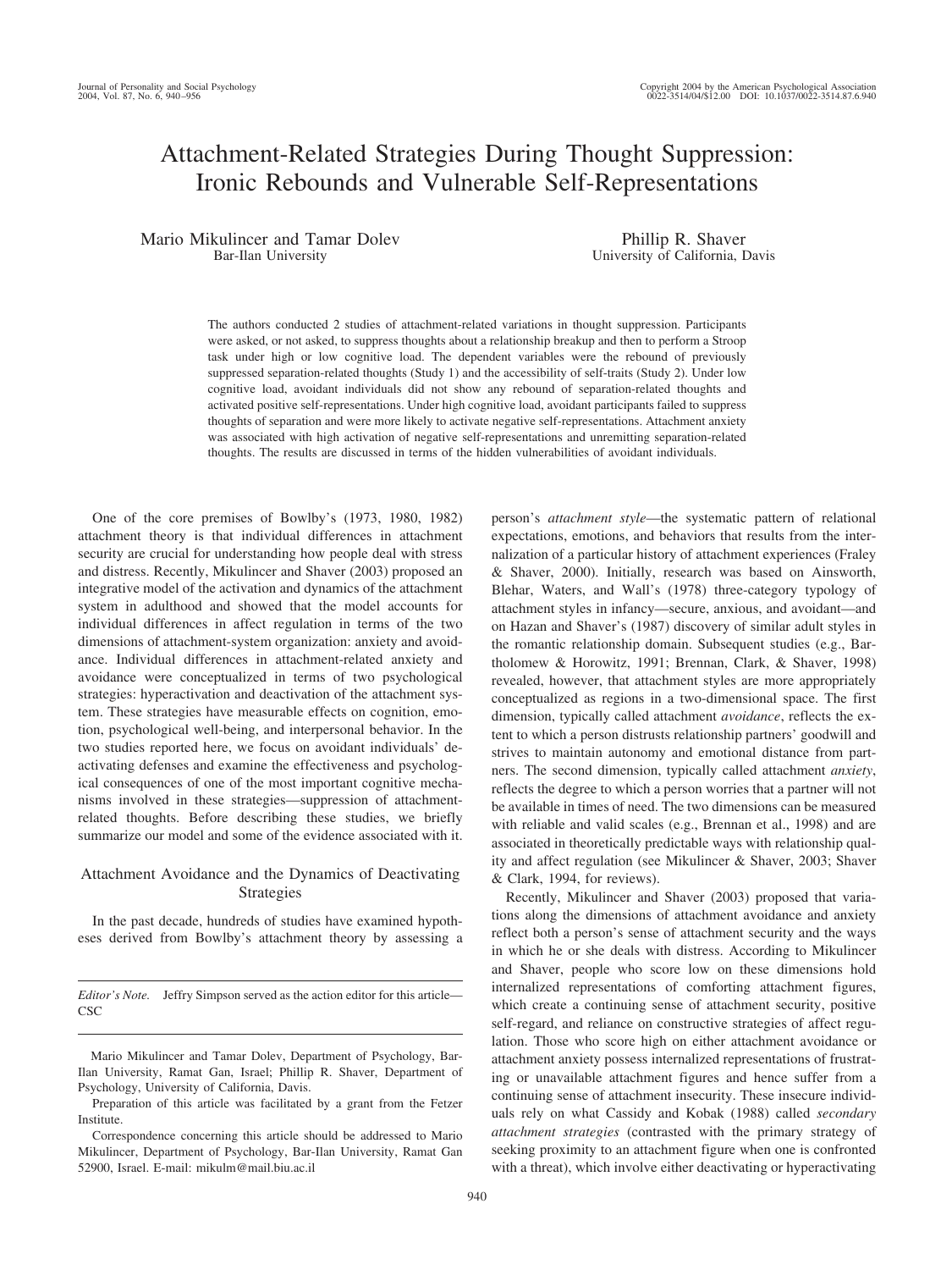# Attachment-Related Strategies During Thought Suppression: Ironic Rebounds and Vulnerable Self-Representations

Mario Mikulincer and Tamar Dolev Bar-Ilan University

Phillip R. Shaver University of California, Davis

The authors conducted 2 studies of attachment-related variations in thought suppression. Participants were asked, or not asked, to suppress thoughts about a relationship breakup and then to perform a Stroop task under high or low cognitive load. The dependent variables were the rebound of previously suppressed separation-related thoughts (Study 1) and the accessibility of self-traits (Study 2). Under low cognitive load, avoidant individuals did not show any rebound of separation-related thoughts and activated positive self-representations. Under high cognitive load, avoidant participants failed to suppress thoughts of separation and were more likely to activate negative self-representations. Attachment anxiety was associated with high activation of negative self-representations and unremitting separation-related thoughts. The results are discussed in terms of the hidden vulnerabilities of avoidant individuals.

One of the core premises of Bowlby's (1973, 1980, 1982) attachment theory is that individual differences in attachment security are crucial for understanding how people deal with stress and distress. Recently, Mikulincer and Shaver (2003) proposed an integrative model of the activation and dynamics of the attachment system in adulthood and showed that the model accounts for individual differences in affect regulation in terms of the two dimensions of attachment-system organization: anxiety and avoidance. Individual differences in attachment-related anxiety and avoidance were conceptualized in terms of two psychological strategies: hyperactivation and deactivation of the attachment system. These strategies have measurable effects on cognition, emotion, psychological well-being, and interpersonal behavior. In the two studies reported here, we focus on avoidant individuals' deactivating defenses and examine the effectiveness and psychological consequences of one of the most important cognitive mechanisms involved in these strategies—suppression of attachmentrelated thoughts. Before describing these studies, we briefly summarize our model and some of the evidence associated with it.

# Attachment Avoidance and the Dynamics of Deactivating Strategies

In the past decade, hundreds of studies have examined hypotheses derived from Bowlby's attachment theory by assessing a

*Editor's Note.* Jeffry Simpson served as the action editor for this article— CSC

person's *attachment style*—the systematic pattern of relational expectations, emotions, and behaviors that results from the internalization of a particular history of attachment experiences (Fraley & Shaver, 2000). Initially, research was based on Ainsworth, Blehar, Waters, and Wall's (1978) three-category typology of attachment styles in infancy—secure, anxious, and avoidant—and on Hazan and Shaver's (1987) discovery of similar adult styles in the romantic relationship domain. Subsequent studies (e.g., Bartholomew & Horowitz, 1991; Brennan, Clark, & Shaver, 1998) revealed, however, that attachment styles are more appropriately conceptualized as regions in a two-dimensional space. The first dimension, typically called attachment *avoidance*, reflects the extent to which a person distrusts relationship partners' goodwill and strives to maintain autonomy and emotional distance from partners. The second dimension, typically called attachment *anxiety*, reflects the degree to which a person worries that a partner will not be available in times of need. The two dimensions can be measured with reliable and valid scales (e.g., Brennan et al., 1998) and are associated in theoretically predictable ways with relationship quality and affect regulation (see Mikulincer & Shaver, 2003; Shaver & Clark, 1994, for reviews).

Recently, Mikulincer and Shaver (2003) proposed that variations along the dimensions of attachment avoidance and anxiety reflect both a person's sense of attachment security and the ways in which he or she deals with distress. According to Mikulincer and Shaver, people who score low on these dimensions hold internalized representations of comforting attachment figures, which create a continuing sense of attachment security, positive self-regard, and reliance on constructive strategies of affect regulation. Those who score high on either attachment avoidance or attachment anxiety possess internalized representations of frustrating or unavailable attachment figures and hence suffer from a continuing sense of attachment insecurity. These insecure individuals rely on what Cassidy and Kobak (1988) called *secondary attachment strategies* (contrasted with the primary strategy of seeking proximity to an attachment figure when one is confronted with a threat), which involve either deactivating or hyperactivating

Mario Mikulincer and Tamar Dolev, Department of Psychology, Bar-Ilan University, Ramat Gan, Israel; Phillip R. Shaver, Department of Psychology, University of California, Davis.

Preparation of this article was facilitated by a grant from the Fetzer Institute.

Correspondence concerning this article should be addressed to Mario Mikulincer, Department of Psychology, Bar-Ilan University, Ramat Gan 52900, Israel. E-mail: mikulm@mail.biu.ac.il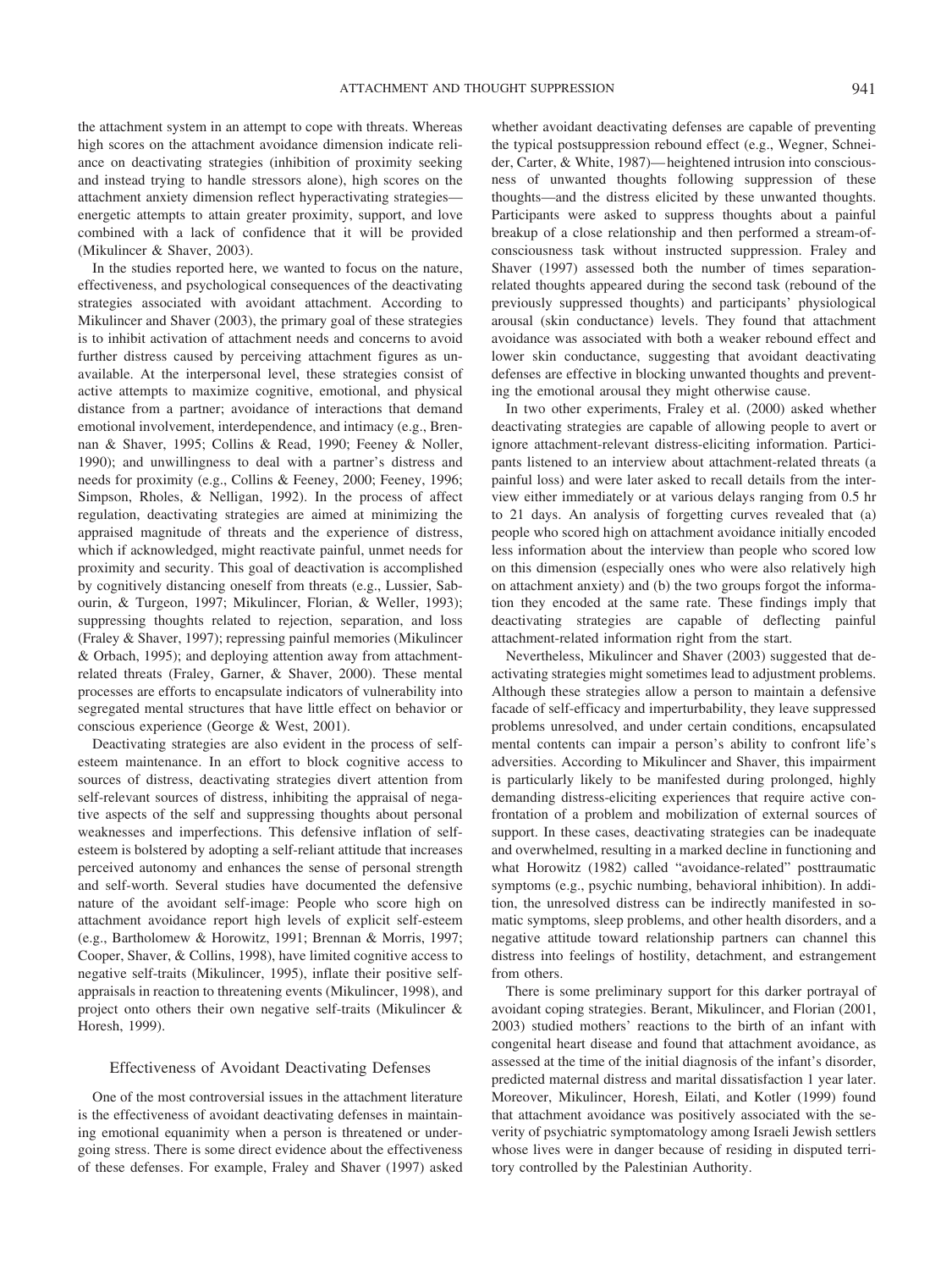the attachment system in an attempt to cope with threats. Whereas high scores on the attachment avoidance dimension indicate reliance on deactivating strategies (inhibition of proximity seeking and instead trying to handle stressors alone), high scores on the attachment anxiety dimension reflect hyperactivating strategies energetic attempts to attain greater proximity, support, and love combined with a lack of confidence that it will be provided (Mikulincer & Shaver, 2003).

In the studies reported here, we wanted to focus on the nature, effectiveness, and psychological consequences of the deactivating strategies associated with avoidant attachment. According to Mikulincer and Shaver (2003), the primary goal of these strategies is to inhibit activation of attachment needs and concerns to avoid further distress caused by perceiving attachment figures as unavailable. At the interpersonal level, these strategies consist of active attempts to maximize cognitive, emotional, and physical distance from a partner; avoidance of interactions that demand emotional involvement, interdependence, and intimacy (e.g., Brennan & Shaver, 1995; Collins & Read, 1990; Feeney & Noller, 1990); and unwillingness to deal with a partner's distress and needs for proximity (e.g., Collins & Feeney, 2000; Feeney, 1996; Simpson, Rholes, & Nelligan, 1992). In the process of affect regulation, deactivating strategies are aimed at minimizing the appraised magnitude of threats and the experience of distress, which if acknowledged, might reactivate painful, unmet needs for proximity and security. This goal of deactivation is accomplished by cognitively distancing oneself from threats (e.g., Lussier, Sabourin, & Turgeon, 1997; Mikulincer, Florian, & Weller, 1993); suppressing thoughts related to rejection, separation, and loss (Fraley & Shaver, 1997); repressing painful memories (Mikulincer & Orbach, 1995); and deploying attention away from attachmentrelated threats (Fraley, Garner, & Shaver, 2000). These mental processes are efforts to encapsulate indicators of vulnerability into segregated mental structures that have little effect on behavior or conscious experience (George & West, 2001).

Deactivating strategies are also evident in the process of selfesteem maintenance. In an effort to block cognitive access to sources of distress, deactivating strategies divert attention from self-relevant sources of distress, inhibiting the appraisal of negative aspects of the self and suppressing thoughts about personal weaknesses and imperfections. This defensive inflation of selfesteem is bolstered by adopting a self-reliant attitude that increases perceived autonomy and enhances the sense of personal strength and self-worth. Several studies have documented the defensive nature of the avoidant self-image: People who score high on attachment avoidance report high levels of explicit self-esteem (e.g., Bartholomew & Horowitz, 1991; Brennan & Morris, 1997; Cooper, Shaver, & Collins, 1998), have limited cognitive access to negative self-traits (Mikulincer, 1995), inflate their positive selfappraisals in reaction to threatening events (Mikulincer, 1998), and project onto others their own negative self-traits (Mikulincer & Horesh, 1999).

## Effectiveness of Avoidant Deactivating Defenses

One of the most controversial issues in the attachment literature is the effectiveness of avoidant deactivating defenses in maintaining emotional equanimity when a person is threatened or undergoing stress. There is some direct evidence about the effectiveness of these defenses. For example, Fraley and Shaver (1997) asked whether avoidant deactivating defenses are capable of preventing the typical postsuppression rebound effect (e.g., Wegner, Schneider, Carter, & White, 1987)— heightened intrusion into consciousness of unwanted thoughts following suppression of these thoughts—and the distress elicited by these unwanted thoughts. Participants were asked to suppress thoughts about a painful breakup of a close relationship and then performed a stream-ofconsciousness task without instructed suppression. Fraley and Shaver (1997) assessed both the number of times separationrelated thoughts appeared during the second task (rebound of the previously suppressed thoughts) and participants' physiological arousal (skin conductance) levels. They found that attachment avoidance was associated with both a weaker rebound effect and lower skin conductance, suggesting that avoidant deactivating defenses are effective in blocking unwanted thoughts and preventing the emotional arousal they might otherwise cause.

In two other experiments, Fraley et al. (2000) asked whether deactivating strategies are capable of allowing people to avert or ignore attachment-relevant distress-eliciting information. Participants listened to an interview about attachment-related threats (a painful loss) and were later asked to recall details from the interview either immediately or at various delays ranging from 0.5 hr to 21 days. An analysis of forgetting curves revealed that (a) people who scored high on attachment avoidance initially encoded less information about the interview than people who scored low on this dimension (especially ones who were also relatively high on attachment anxiety) and (b) the two groups forgot the information they encoded at the same rate. These findings imply that deactivating strategies are capable of deflecting painful attachment-related information right from the start.

Nevertheless, Mikulincer and Shaver (2003) suggested that deactivating strategies might sometimes lead to adjustment problems. Although these strategies allow a person to maintain a defensive facade of self-efficacy and imperturbability, they leave suppressed problems unresolved, and under certain conditions, encapsulated mental contents can impair a person's ability to confront life's adversities. According to Mikulincer and Shaver, this impairment is particularly likely to be manifested during prolonged, highly demanding distress-eliciting experiences that require active confrontation of a problem and mobilization of external sources of support. In these cases, deactivating strategies can be inadequate and overwhelmed, resulting in a marked decline in functioning and what Horowitz (1982) called "avoidance-related" posttraumatic symptoms (e.g., psychic numbing, behavioral inhibition). In addition, the unresolved distress can be indirectly manifested in somatic symptoms, sleep problems, and other health disorders, and a negative attitude toward relationship partners can channel this distress into feelings of hostility, detachment, and estrangement from others.

There is some preliminary support for this darker portrayal of avoidant coping strategies. Berant, Mikulincer, and Florian (2001, 2003) studied mothers' reactions to the birth of an infant with congenital heart disease and found that attachment avoidance, as assessed at the time of the initial diagnosis of the infant's disorder, predicted maternal distress and marital dissatisfaction 1 year later. Moreover, Mikulincer, Horesh, Eilati, and Kotler (1999) found that attachment avoidance was positively associated with the severity of psychiatric symptomatology among Israeli Jewish settlers whose lives were in danger because of residing in disputed territory controlled by the Palestinian Authority.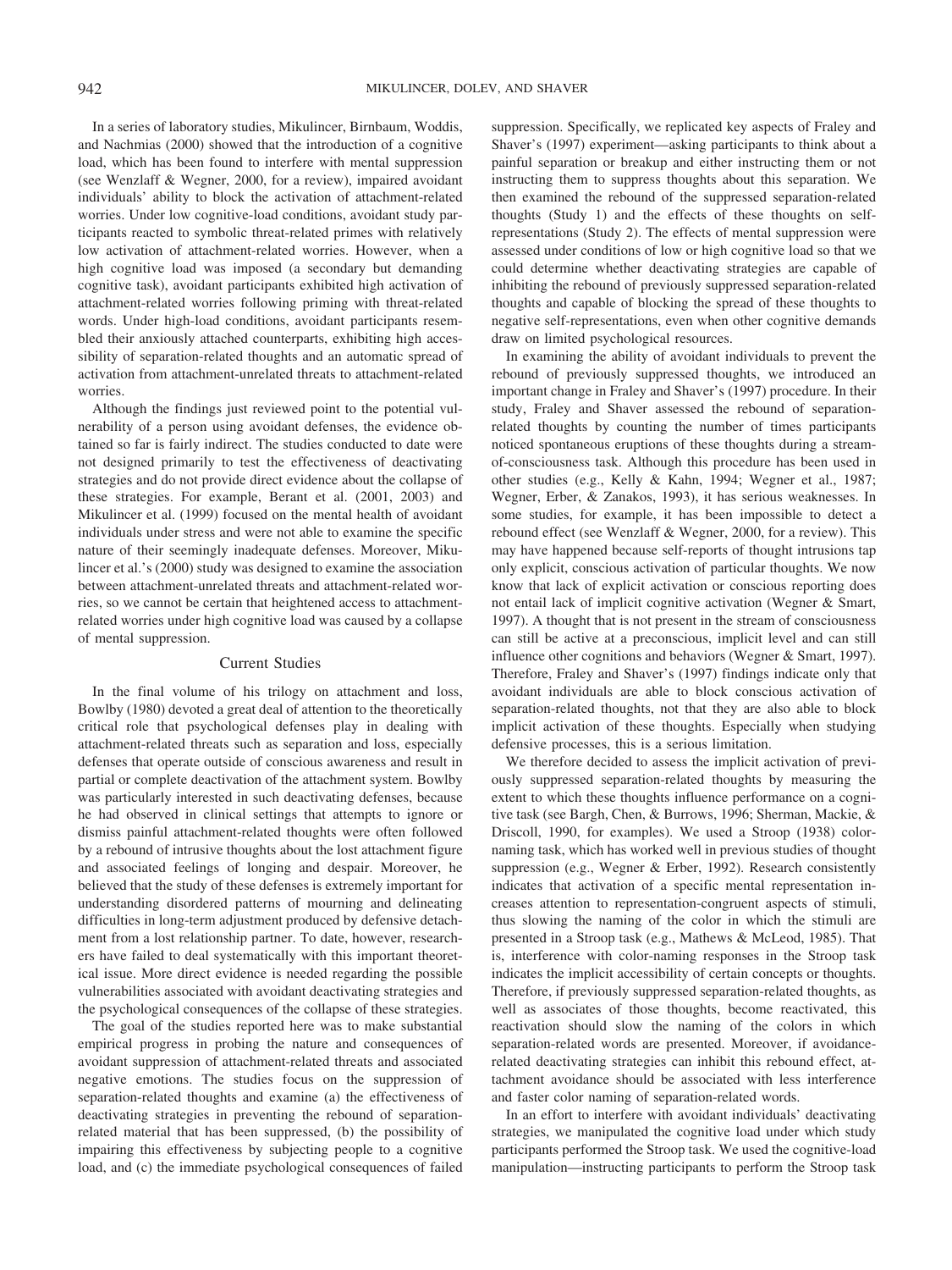In a series of laboratory studies, Mikulincer, Birnbaum, Woddis, and Nachmias (2000) showed that the introduction of a cognitive load, which has been found to interfere with mental suppression (see Wenzlaff & Wegner, 2000, for a review), impaired avoidant individuals' ability to block the activation of attachment-related worries. Under low cognitive-load conditions, avoidant study participants reacted to symbolic threat-related primes with relatively low activation of attachment-related worries. However, when a high cognitive load was imposed (a secondary but demanding cognitive task), avoidant participants exhibited high activation of attachment-related worries following priming with threat-related words. Under high-load conditions, avoidant participants resembled their anxiously attached counterparts, exhibiting high accessibility of separation-related thoughts and an automatic spread of activation from attachment-unrelated threats to attachment-related worries.

Although the findings just reviewed point to the potential vulnerability of a person using avoidant defenses, the evidence obtained so far is fairly indirect. The studies conducted to date were not designed primarily to test the effectiveness of deactivating strategies and do not provide direct evidence about the collapse of these strategies. For example, Berant et al. (2001, 2003) and Mikulincer et al. (1999) focused on the mental health of avoidant individuals under stress and were not able to examine the specific nature of their seemingly inadequate defenses. Moreover, Mikulincer et al.'s (2000) study was designed to examine the association between attachment-unrelated threats and attachment-related worries, so we cannot be certain that heightened access to attachmentrelated worries under high cognitive load was caused by a collapse of mental suppression.

#### Current Studies

In the final volume of his trilogy on attachment and loss, Bowlby (1980) devoted a great deal of attention to the theoretically critical role that psychological defenses play in dealing with attachment-related threats such as separation and loss, especially defenses that operate outside of conscious awareness and result in partial or complete deactivation of the attachment system. Bowlby was particularly interested in such deactivating defenses, because he had observed in clinical settings that attempts to ignore or dismiss painful attachment-related thoughts were often followed by a rebound of intrusive thoughts about the lost attachment figure and associated feelings of longing and despair. Moreover, he believed that the study of these defenses is extremely important for understanding disordered patterns of mourning and delineating difficulties in long-term adjustment produced by defensive detachment from a lost relationship partner. To date, however, researchers have failed to deal systematically with this important theoretical issue. More direct evidence is needed regarding the possible vulnerabilities associated with avoidant deactivating strategies and the psychological consequences of the collapse of these strategies.

The goal of the studies reported here was to make substantial empirical progress in probing the nature and consequences of avoidant suppression of attachment-related threats and associated negative emotions. The studies focus on the suppression of separation-related thoughts and examine (a) the effectiveness of deactivating strategies in preventing the rebound of separationrelated material that has been suppressed, (b) the possibility of impairing this effectiveness by subjecting people to a cognitive load, and (c) the immediate psychological consequences of failed

suppression. Specifically, we replicated key aspects of Fraley and Shaver's (1997) experiment—asking participants to think about a painful separation or breakup and either instructing them or not instructing them to suppress thoughts about this separation. We then examined the rebound of the suppressed separation-related thoughts (Study 1) and the effects of these thoughts on selfrepresentations (Study 2). The effects of mental suppression were assessed under conditions of low or high cognitive load so that we could determine whether deactivating strategies are capable of inhibiting the rebound of previously suppressed separation-related thoughts and capable of blocking the spread of these thoughts to negative self-representations, even when other cognitive demands draw on limited psychological resources.

In examining the ability of avoidant individuals to prevent the rebound of previously suppressed thoughts, we introduced an important change in Fraley and Shaver's (1997) procedure. In their study, Fraley and Shaver assessed the rebound of separationrelated thoughts by counting the number of times participants noticed spontaneous eruptions of these thoughts during a streamof-consciousness task. Although this procedure has been used in other studies (e.g., Kelly & Kahn, 1994; Wegner et al., 1987; Wegner, Erber, & Zanakos, 1993), it has serious weaknesses. In some studies, for example, it has been impossible to detect a rebound effect (see Wenzlaff & Wegner, 2000, for a review). This may have happened because self-reports of thought intrusions tap only explicit, conscious activation of particular thoughts. We now know that lack of explicit activation or conscious reporting does not entail lack of implicit cognitive activation (Wegner & Smart, 1997). A thought that is not present in the stream of consciousness can still be active at a preconscious, implicit level and can still influence other cognitions and behaviors (Wegner & Smart, 1997). Therefore, Fraley and Shaver's (1997) findings indicate only that avoidant individuals are able to block conscious activation of separation-related thoughts, not that they are also able to block implicit activation of these thoughts. Especially when studying defensive processes, this is a serious limitation.

We therefore decided to assess the implicit activation of previously suppressed separation-related thoughts by measuring the extent to which these thoughts influence performance on a cognitive task (see Bargh, Chen, & Burrows, 1996; Sherman, Mackie, & Driscoll, 1990, for examples). We used a Stroop (1938) colornaming task, which has worked well in previous studies of thought suppression (e.g., Wegner & Erber, 1992). Research consistently indicates that activation of a specific mental representation increases attention to representation-congruent aspects of stimuli, thus slowing the naming of the color in which the stimuli are presented in a Stroop task (e.g., Mathews & McLeod, 1985). That is, interference with color-naming responses in the Stroop task indicates the implicit accessibility of certain concepts or thoughts. Therefore, if previously suppressed separation-related thoughts, as well as associates of those thoughts, become reactivated, this reactivation should slow the naming of the colors in which separation-related words are presented. Moreover, if avoidancerelated deactivating strategies can inhibit this rebound effect, attachment avoidance should be associated with less interference and faster color naming of separation-related words.

In an effort to interfere with avoidant individuals' deactivating strategies, we manipulated the cognitive load under which study participants performed the Stroop task. We used the cognitive-load manipulation—instructing participants to perform the Stroop task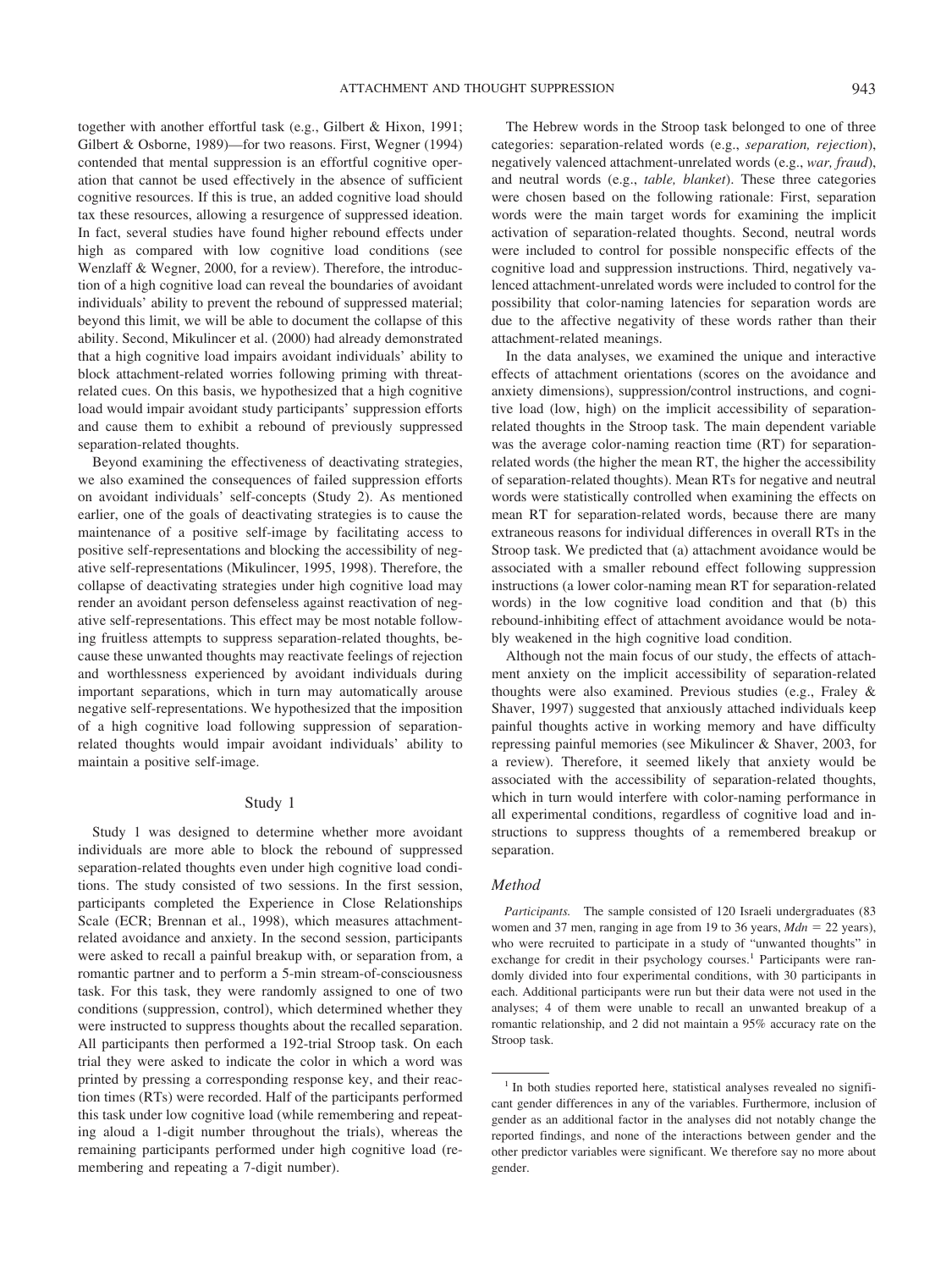together with another effortful task (e.g., Gilbert & Hixon, 1991; Gilbert & Osborne, 1989)—for two reasons. First, Wegner (1994) contended that mental suppression is an effortful cognitive operation that cannot be used effectively in the absence of sufficient cognitive resources. If this is true, an added cognitive load should tax these resources, allowing a resurgence of suppressed ideation. In fact, several studies have found higher rebound effects under high as compared with low cognitive load conditions (see Wenzlaff & Wegner, 2000, for a review). Therefore, the introduction of a high cognitive load can reveal the boundaries of avoidant individuals' ability to prevent the rebound of suppressed material; beyond this limit, we will be able to document the collapse of this ability. Second, Mikulincer et al. (2000) had already demonstrated that a high cognitive load impairs avoidant individuals' ability to block attachment-related worries following priming with threatrelated cues. On this basis, we hypothesized that a high cognitive load would impair avoidant study participants' suppression efforts and cause them to exhibit a rebound of previously suppressed separation-related thoughts.

Beyond examining the effectiveness of deactivating strategies, we also examined the consequences of failed suppression efforts on avoidant individuals' self-concepts (Study 2). As mentioned earlier, one of the goals of deactivating strategies is to cause the maintenance of a positive self-image by facilitating access to positive self-representations and blocking the accessibility of negative self-representations (Mikulincer, 1995, 1998). Therefore, the collapse of deactivating strategies under high cognitive load may render an avoidant person defenseless against reactivation of negative self-representations. This effect may be most notable following fruitless attempts to suppress separation-related thoughts, because these unwanted thoughts may reactivate feelings of rejection and worthlessness experienced by avoidant individuals during important separations, which in turn may automatically arouse negative self-representations. We hypothesized that the imposition of a high cognitive load following suppression of separationrelated thoughts would impair avoidant individuals' ability to maintain a positive self-image.

#### Study 1

Study 1 was designed to determine whether more avoidant individuals are more able to block the rebound of suppressed separation-related thoughts even under high cognitive load conditions. The study consisted of two sessions. In the first session, participants completed the Experience in Close Relationships Scale (ECR; Brennan et al., 1998), which measures attachmentrelated avoidance and anxiety. In the second session, participants were asked to recall a painful breakup with, or separation from, a romantic partner and to perform a 5-min stream-of-consciousness task. For this task, they were randomly assigned to one of two conditions (suppression, control), which determined whether they were instructed to suppress thoughts about the recalled separation. All participants then performed a 192-trial Stroop task. On each trial they were asked to indicate the color in which a word was printed by pressing a corresponding response key, and their reaction times (RTs) were recorded. Half of the participants performed this task under low cognitive load (while remembering and repeating aloud a 1-digit number throughout the trials), whereas the remaining participants performed under high cognitive load (remembering and repeating a 7-digit number).

The Hebrew words in the Stroop task belonged to one of three categories: separation-related words (e.g., *separation, rejection*), negatively valenced attachment-unrelated words (e.g., *war, fraud*), and neutral words (e.g., *table, blanket*). These three categories were chosen based on the following rationale: First, separation words were the main target words for examining the implicit activation of separation-related thoughts. Second, neutral words were included to control for possible nonspecific effects of the cognitive load and suppression instructions. Third, negatively valenced attachment-unrelated words were included to control for the possibility that color-naming latencies for separation words are due to the affective negativity of these words rather than their attachment-related meanings.

In the data analyses, we examined the unique and interactive effects of attachment orientations (scores on the avoidance and anxiety dimensions), suppression/control instructions, and cognitive load (low, high) on the implicit accessibility of separationrelated thoughts in the Stroop task. The main dependent variable was the average color-naming reaction time (RT) for separationrelated words (the higher the mean RT, the higher the accessibility of separation-related thoughts). Mean RTs for negative and neutral words were statistically controlled when examining the effects on mean RT for separation-related words, because there are many extraneous reasons for individual differences in overall RTs in the Stroop task. We predicted that (a) attachment avoidance would be associated with a smaller rebound effect following suppression instructions (a lower color-naming mean RT for separation-related words) in the low cognitive load condition and that (b) this rebound-inhibiting effect of attachment avoidance would be notably weakened in the high cognitive load condition.

Although not the main focus of our study, the effects of attachment anxiety on the implicit accessibility of separation-related thoughts were also examined. Previous studies (e.g., Fraley & Shaver, 1997) suggested that anxiously attached individuals keep painful thoughts active in working memory and have difficulty repressing painful memories (see Mikulincer & Shaver, 2003, for a review). Therefore, it seemed likely that anxiety would be associated with the accessibility of separation-related thoughts, which in turn would interfere with color-naming performance in all experimental conditions, regardless of cognitive load and instructions to suppress thoughts of a remembered breakup or separation.

#### *Method*

*Participants.* The sample consisted of 120 Israeli undergraduates (83 women and 37 men, ranging in age from 19 to 36 years,  $Mdn = 22$  years), who were recruited to participate in a study of "unwanted thoughts" in exchange for credit in their psychology courses.<sup>1</sup> Participants were randomly divided into four experimental conditions, with 30 participants in each. Additional participants were run but their data were not used in the analyses; 4 of them were unable to recall an unwanted breakup of a romantic relationship, and 2 did not maintain a 95% accuracy rate on the Stroop task.

<sup>&</sup>lt;sup>1</sup> In both studies reported here, statistical analyses revealed no significant gender differences in any of the variables. Furthermore, inclusion of gender as an additional factor in the analyses did not notably change the reported findings, and none of the interactions between gender and the other predictor variables were significant. We therefore say no more about gender.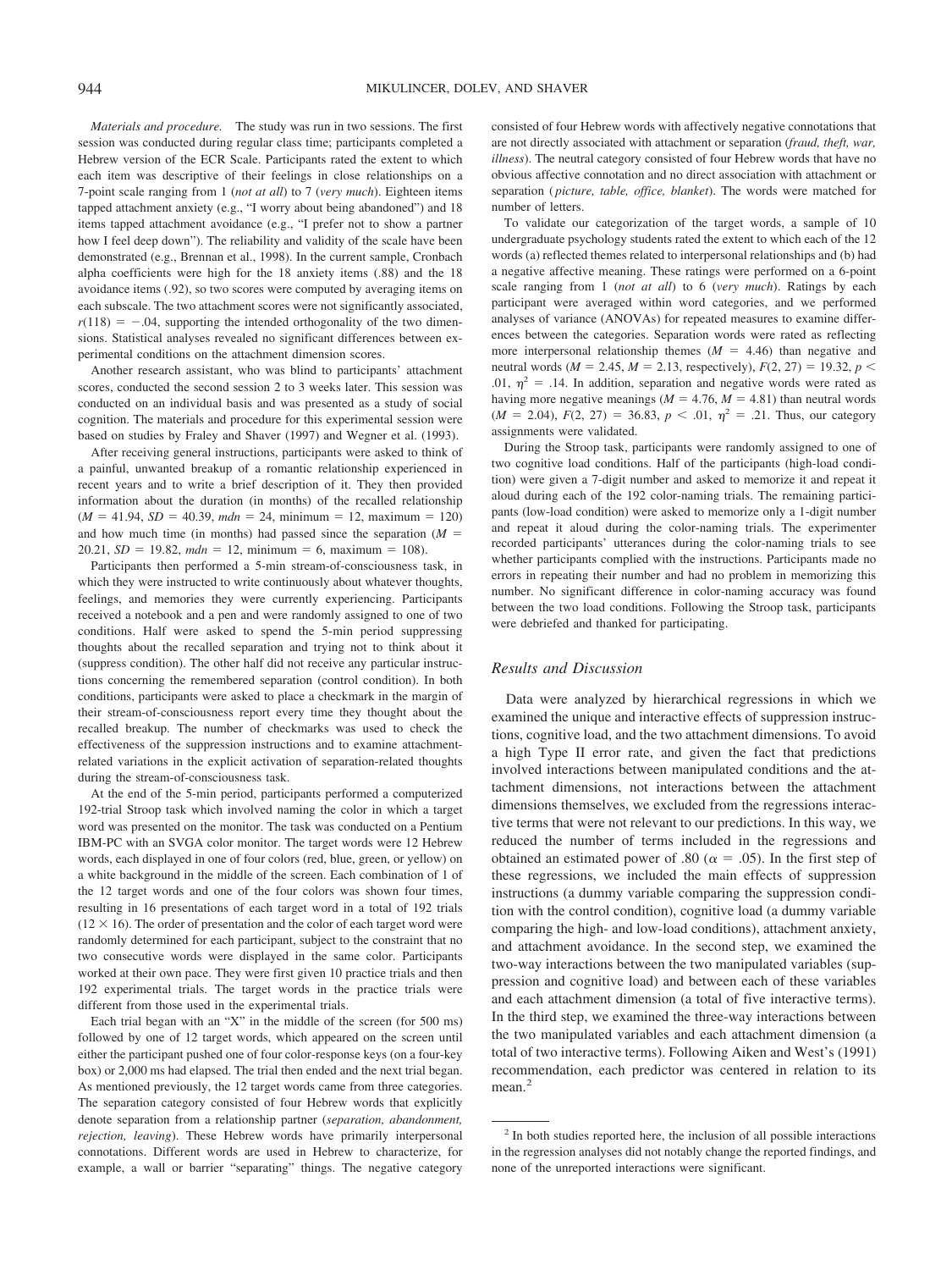*Materials and procedure.* The study was run in two sessions. The first session was conducted during regular class time; participants completed a Hebrew version of the ECR Scale. Participants rated the extent to which each item was descriptive of their feelings in close relationships on a 7-point scale ranging from 1 (*not at all*) to 7 (*very much*). Eighteen items tapped attachment anxiety (e.g., "I worry about being abandoned") and 18 items tapped attachment avoidance (e.g., "I prefer not to show a partner how I feel deep down"). The reliability and validity of the scale have been demonstrated (e.g., Brennan et al., 1998). In the current sample, Cronbach alpha coefficients were high for the 18 anxiety items (.88) and the 18 avoidance items (.92), so two scores were computed by averaging items on each subscale. The two attachment scores were not significantly associated,  $r(118) = -.04$ , supporting the intended orthogonality of the two dimensions. Statistical analyses revealed no significant differences between experimental conditions on the attachment dimension scores.

Another research assistant, who was blind to participants' attachment scores, conducted the second session 2 to 3 weeks later. This session was conducted on an individual basis and was presented as a study of social cognition. The materials and procedure for this experimental session were based on studies by Fraley and Shaver (1997) and Wegner et al. (1993).

After receiving general instructions, participants were asked to think of a painful, unwanted breakup of a romantic relationship experienced in recent years and to write a brief description of it. They then provided information about the duration (in months) of the recalled relationship  $(M = 41.94, SD = 40.39, mdn = 24, minimum = 12, maximum = 120)$ and how much time (in months) had passed since the separation  $(M =$ 20.21,  $SD = 19.82$ ,  $mdn = 12$ , minimum = 6, maximum = 108).

Participants then performed a 5-min stream-of-consciousness task, in which they were instructed to write continuously about whatever thoughts, feelings, and memories they were currently experiencing. Participants received a notebook and a pen and were randomly assigned to one of two conditions. Half were asked to spend the 5-min period suppressing thoughts about the recalled separation and trying not to think about it (suppress condition). The other half did not receive any particular instructions concerning the remembered separation (control condition). In both conditions, participants were asked to place a checkmark in the margin of their stream-of-consciousness report every time they thought about the recalled breakup. The number of checkmarks was used to check the effectiveness of the suppression instructions and to examine attachmentrelated variations in the explicit activation of separation-related thoughts during the stream-of-consciousness task.

At the end of the 5-min period, participants performed a computerized 192-trial Stroop task which involved naming the color in which a target word was presented on the monitor. The task was conducted on a Pentium IBM-PC with an SVGA color monitor. The target words were 12 Hebrew words, each displayed in one of four colors (red, blue, green, or yellow) on a white background in the middle of the screen. Each combination of 1 of the 12 target words and one of the four colors was shown four times, resulting in 16 presentations of each target word in a total of 192 trials  $(12 \times 16)$ . The order of presentation and the color of each target word were randomly determined for each participant, subject to the constraint that no two consecutive words were displayed in the same color. Participants worked at their own pace. They were first given 10 practice trials and then 192 experimental trials. The target words in the practice trials were different from those used in the experimental trials.

Each trial began with an "X" in the middle of the screen (for 500 ms) followed by one of 12 target words, which appeared on the screen until either the participant pushed one of four color-response keys (on a four-key box) or 2,000 ms had elapsed. The trial then ended and the next trial began. As mentioned previously, the 12 target words came from three categories. The separation category consisted of four Hebrew words that explicitly denote separation from a relationship partner (*separation, abandonment, rejection, leaving*). These Hebrew words have primarily interpersonal connotations. Different words are used in Hebrew to characterize, for example, a wall or barrier "separating" things. The negative category

consisted of four Hebrew words with affectively negative connotations that are not directly associated with attachment or separation (*fraud, theft, war, illness*). The neutral category consisted of four Hebrew words that have no obvious affective connotation and no direct association with attachment or separation ( *picture, table, office, blanket*). The words were matched for number of letters.

To validate our categorization of the target words, a sample of 10 undergraduate psychology students rated the extent to which each of the 12 words (a) reflected themes related to interpersonal relationships and (b) had a negative affective meaning. These ratings were performed on a 6-point scale ranging from 1 (*not at all*) to 6 (*very much*). Ratings by each participant were averaged within word categories, and we performed analyses of variance (ANOVAs) for repeated measures to examine differences between the categories. Separation words were rated as reflecting more interpersonal relationship themes  $(M = 4.46)$  than negative and neutral words ( $M = 2.45$ ,  $M = 2.13$ , respectively),  $F(2, 27) = 19.32$ ,  $p <$ .01,  $\eta^2$  = .14. In addition, separation and negative words were rated as having more negative meanings ( $M = 4.76$ ,  $M = 4.81$ ) than neutral words  $(M = 2.04)$ ,  $F(2, 27) = 36.83$ ,  $p < .01$ ,  $\eta^2 = .21$ . Thus, our category assignments were validated.

During the Stroop task, participants were randomly assigned to one of two cognitive load conditions. Half of the participants (high-load condition) were given a 7-digit number and asked to memorize it and repeat it aloud during each of the 192 color-naming trials. The remaining participants (low-load condition) were asked to memorize only a 1-digit number and repeat it aloud during the color-naming trials. The experimenter recorded participants' utterances during the color-naming trials to see whether participants complied with the instructions. Participants made no errors in repeating their number and had no problem in memorizing this number. No significant difference in color-naming accuracy was found between the two load conditions. Following the Stroop task, participants were debriefed and thanked for participating.

## *Results and Discussion*

Data were analyzed by hierarchical regressions in which we examined the unique and interactive effects of suppression instructions, cognitive load, and the two attachment dimensions. To avoid a high Type II error rate, and given the fact that predictions involved interactions between manipulated conditions and the attachment dimensions, not interactions between the attachment dimensions themselves, we excluded from the regressions interactive terms that were not relevant to our predictions. In this way, we reduced the number of terms included in the regressions and obtained an estimated power of .80 ( $\alpha = .05$ ). In the first step of these regressions, we included the main effects of suppression instructions (a dummy variable comparing the suppression condition with the control condition), cognitive load (a dummy variable comparing the high- and low-load conditions), attachment anxiety, and attachment avoidance. In the second step, we examined the two-way interactions between the two manipulated variables (suppression and cognitive load) and between each of these variables and each attachment dimension (a total of five interactive terms). In the third step, we examined the three-way interactions between the two manipulated variables and each attachment dimension (a total of two interactive terms). Following Aiken and West's (1991) recommendation, each predictor was centered in relation to its mean.<sup>2</sup>

<sup>2</sup> In both studies reported here, the inclusion of all possible interactions in the regression analyses did not notably change the reported findings, and none of the unreported interactions were significant.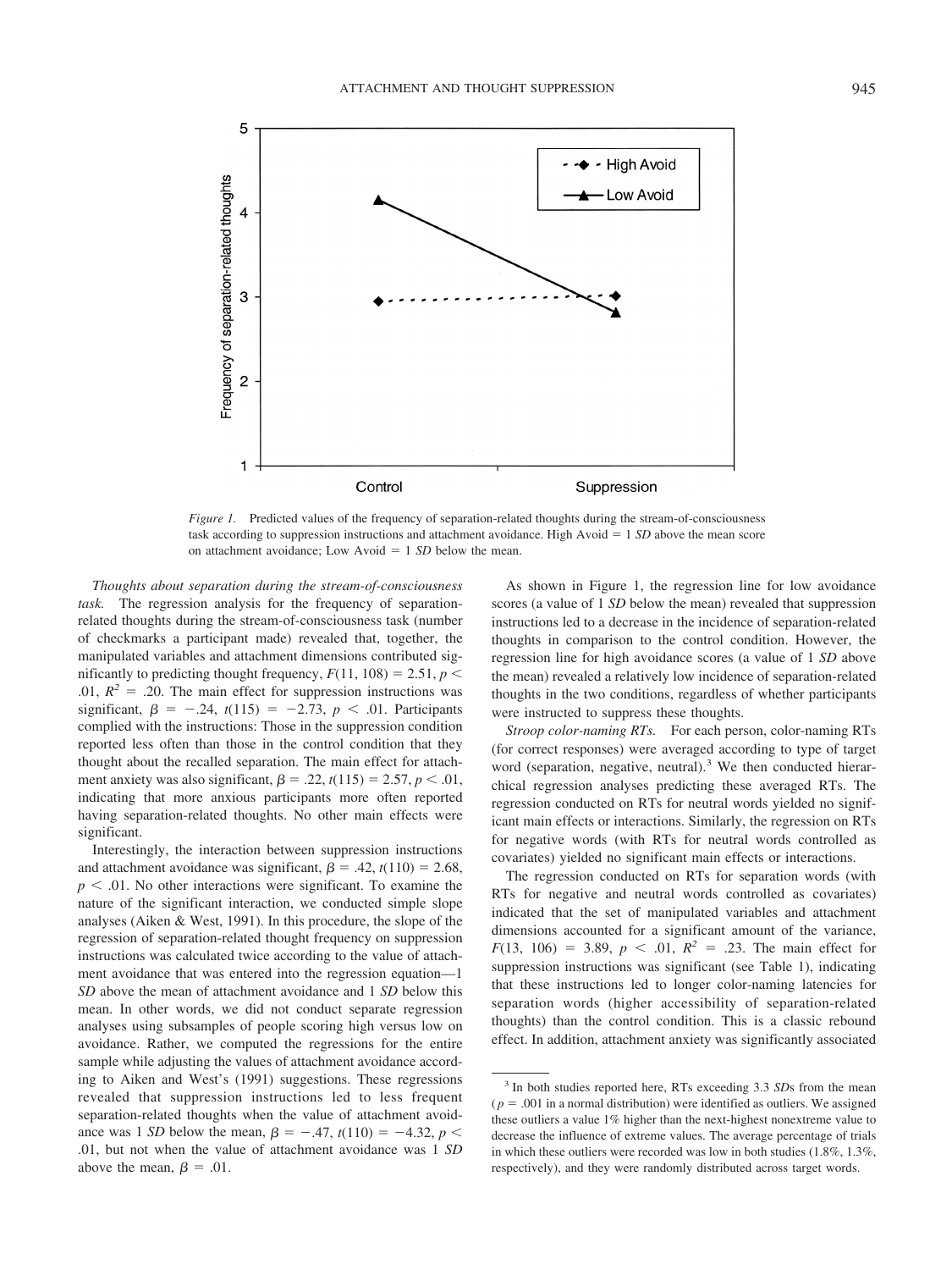

*Figure 1.* Predicted values of the frequency of separation-related thoughts during the stream-of-consciousness task according to suppression instructions and attachment avoidance. High Avoid = 1 *SD* above the mean score on attachment avoidance; Low Avoid  $= 1 SD$  below the mean.

*Thoughts about separation during the stream-of-consciousness task.* The regression analysis for the frequency of separationrelated thoughts during the stream-of-consciousness task (number of checkmarks a participant made) revealed that, together, the manipulated variables and attachment dimensions contributed significantly to predicting thought frequency,  $F(11, 108) = 2.51$ ,  $p <$ .01,  $R^2$  = .20. The main effect for suppression instructions was significant,  $\beta = -.24$ ,  $t(115) = -2.73$ ,  $p < .01$ . Participants complied with the instructions: Those in the suppression condition reported less often than those in the control condition that they thought about the recalled separation. The main effect for attachment anxiety was also significant,  $\beta = .22$ ,  $t(115) = 2.57$ ,  $p < .01$ , indicating that more anxious participants more often reported having separation-related thoughts. No other main effects were significant.

Interestingly, the interaction between suppression instructions and attachment avoidance was significant,  $\beta = .42$ ,  $t(110) = 2.68$ ,  $p \leq 0.01$ . No other interactions were significant. To examine the nature of the significant interaction, we conducted simple slope analyses (Aiken & West, 1991). In this procedure, the slope of the regression of separation-related thought frequency on suppression instructions was calculated twice according to the value of attachment avoidance that was entered into the regression equation—1 *SD* above the mean of attachment avoidance and 1 *SD* below this mean. In other words, we did not conduct separate regression analyses using subsamples of people scoring high versus low on avoidance. Rather, we computed the regressions for the entire sample while adjusting the values of attachment avoidance according to Aiken and West's (1991) suggestions. These regressions revealed that suppression instructions led to less frequent separation-related thoughts when the value of attachment avoidance was 1 *SD* below the mean,  $\beta = -.47$ ,  $t(110) = -4.32$ ,  $p <$ .01, but not when the value of attachment avoidance was 1 *SD* above the mean,  $\beta = .01$ .

As shown in Figure 1, the regression line for low avoidance scores (a value of 1 *SD* below the mean) revealed that suppression instructions led to a decrease in the incidence of separation-related thoughts in comparison to the control condition. However, the regression line for high avoidance scores (a value of 1 *SD* above the mean) revealed a relatively low incidence of separation-related thoughts in the two conditions, regardless of whether participants were instructed to suppress these thoughts.

*Stroop color-naming RTs.* For each person, color-naming RTs (for correct responses) were averaged according to type of target word (separation, negative, neutral).<sup>3</sup> We then conducted hierarchical regression analyses predicting these averaged RTs. The regression conducted on RTs for neutral words yielded no significant main effects or interactions. Similarly, the regression on RTs for negative words (with RTs for neutral words controlled as covariates) yielded no significant main effects or interactions.

The regression conducted on RTs for separation words (with RTs for negative and neutral words controlled as covariates) indicated that the set of manipulated variables and attachment dimensions accounted for a significant amount of the variance,  $F(13, 106) = 3.89, p < .01, R<sup>2</sup> = .23$ . The main effect for suppression instructions was significant (see Table 1), indicating that these instructions led to longer color-naming latencies for separation words (higher accessibility of separation-related thoughts) than the control condition. This is a classic rebound effect. In addition, attachment anxiety was significantly associated

<sup>3</sup> In both studies reported here, RTs exceeding 3.3 *SD*s from the mean  $(p = .001$  in a normal distribution) were identified as outliers. We assigned these outliers a value 1% higher than the next-highest nonextreme value to decrease the influence of extreme values. The average percentage of trials in which these outliers were recorded was low in both studies (1.8%, 1.3%, respectively), and they were randomly distributed across target words.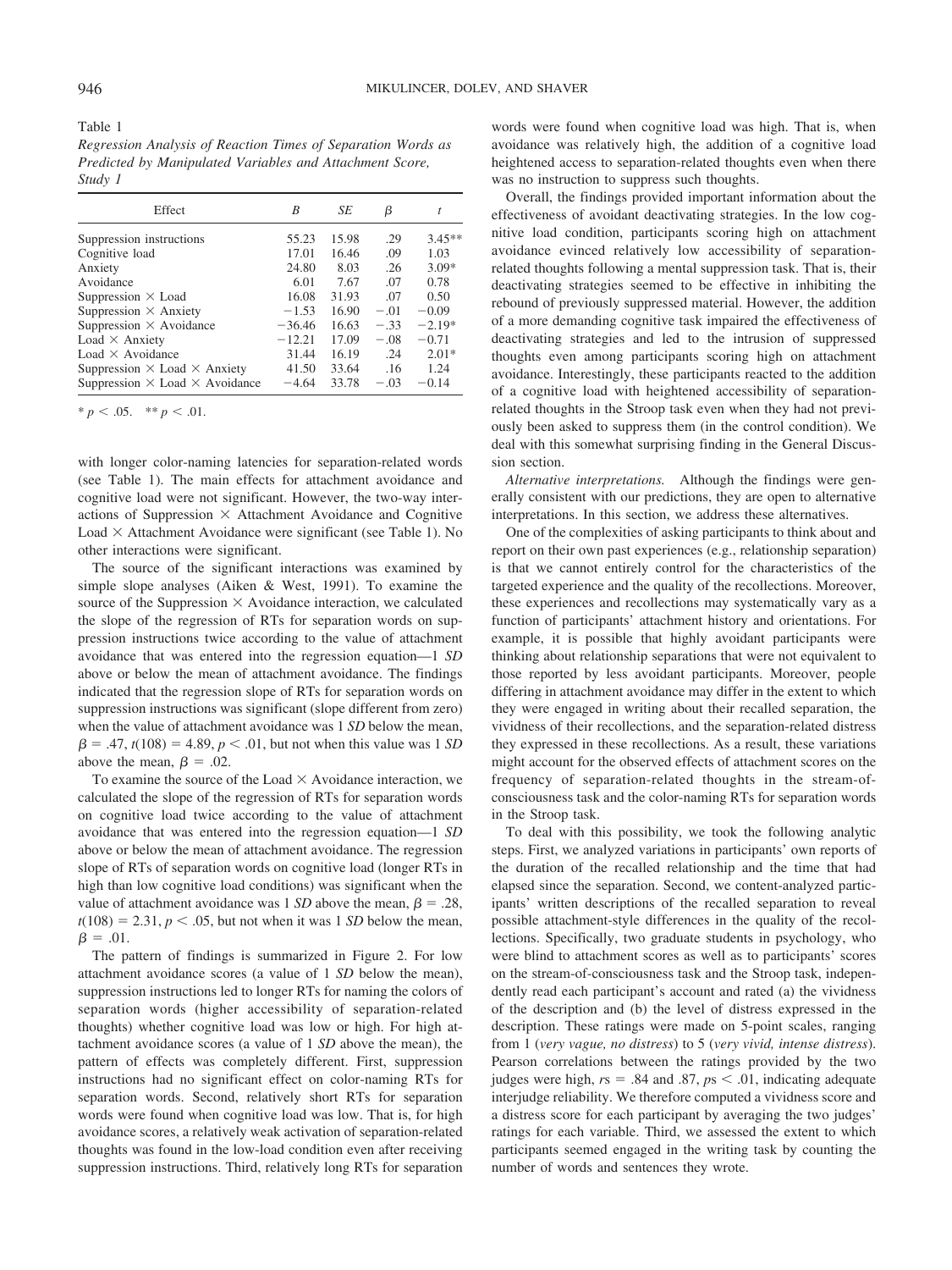Table 1

*Regression Analysis of Reaction Times of Separation Words as Predicted by Manipulated Variables and Attachment Score, Study 1*

| Effect                                       | B        | SE    | β      | t        |
|----------------------------------------------|----------|-------|--------|----------|
| Suppression instructions                     | 55.23    | 15.98 | .29    | $3.45**$ |
| Cognitive load                               | 17.01    | 16.46 | .09    | 1.03     |
| Anxiety                                      | 24.80    | 8.03  | .26    | $3.09*$  |
| Avoidance                                    | 6.01     | 7.67  | .07    | 0.78     |
| Suppression $\times$ Load                    | 16.08    | 31.93 | .07    | 0.50     |
| Suppression $\times$ Anxiety                 | $-1.53$  | 16.90 | $-.01$ | $-0.09$  |
| Suppression $\times$ Avoidance               | $-36.46$ | 16.63 | $-.33$ | $-2.19*$ |
| Load $\times$ Anxiety                        | $-12.21$ | 17.09 | $-.08$ | $-0.71$  |
| Load $\times$ Avoidance                      | 31.44    | 16.19 | 24     | $2.01*$  |
| Suppression $\times$ Load $\times$ Anxiety   | 41.50    | 33.64 | .16    | 1.24     |
| Suppression $\times$ Load $\times$ Avoidance | $-4.64$  | 33.78 | $-.03$ | $-0.14$  |

 $* p < .05.$  \*\*  $p < .01.$ 

with longer color-naming latencies for separation-related words (see Table 1). The main effects for attachment avoidance and cognitive load were not significant. However, the two-way interactions of Suppression  $\times$  Attachment Avoidance and Cognitive Load  $\times$  Attachment Avoidance were significant (see Table 1). No other interactions were significant.

The source of the significant interactions was examined by simple slope analyses (Aiken & West, 1991). To examine the source of the Suppression  $\times$  Avoidance interaction, we calculated the slope of the regression of RTs for separation words on suppression instructions twice according to the value of attachment avoidance that was entered into the regression equation—1 *SD* above or below the mean of attachment avoidance. The findings indicated that the regression slope of RTs for separation words on suppression instructions was significant (slope different from zero) when the value of attachment avoidance was 1 *SD* below the mean,  $\beta = .47$ ,  $t(108) = 4.89$ ,  $p < .01$ , but not when this value was 1 *SD* above the mean,  $\beta = .02$ .

To examine the source of the Load  $\times$  Avoidance interaction, we calculated the slope of the regression of RTs for separation words on cognitive load twice according to the value of attachment avoidance that was entered into the regression equation—1 *SD* above or below the mean of attachment avoidance. The regression slope of RTs of separation words on cognitive load (longer RTs in high than low cognitive load conditions) was significant when the value of attachment avoidance was 1 *SD* above the mean,  $\beta = .28$ ,  $t(108) = 2.31$ ,  $p < .05$ , but not when it was 1 *SD* below the mean,  $\beta = .01$ .

The pattern of findings is summarized in Figure 2. For low attachment avoidance scores (a value of 1 *SD* below the mean), suppression instructions led to longer RTs for naming the colors of separation words (higher accessibility of separation-related thoughts) whether cognitive load was low or high. For high attachment avoidance scores (a value of 1 *SD* above the mean), the pattern of effects was completely different. First, suppression instructions had no significant effect on color-naming RTs for separation words. Second, relatively short RTs for separation words were found when cognitive load was low. That is, for high avoidance scores, a relatively weak activation of separation-related thoughts was found in the low-load condition even after receiving suppression instructions. Third, relatively long RTs for separation

words were found when cognitive load was high. That is, when avoidance was relatively high, the addition of a cognitive load heightened access to separation-related thoughts even when there was no instruction to suppress such thoughts.

Overall, the findings provided important information about the effectiveness of avoidant deactivating strategies. In the low cognitive load condition, participants scoring high on attachment avoidance evinced relatively low accessibility of separationrelated thoughts following a mental suppression task. That is, their deactivating strategies seemed to be effective in inhibiting the rebound of previously suppressed material. However, the addition of a more demanding cognitive task impaired the effectiveness of deactivating strategies and led to the intrusion of suppressed thoughts even among participants scoring high on attachment avoidance. Interestingly, these participants reacted to the addition of a cognitive load with heightened accessibility of separationrelated thoughts in the Stroop task even when they had not previously been asked to suppress them (in the control condition). We deal with this somewhat surprising finding in the General Discussion section.

*Alternative interpretations.* Although the findings were generally consistent with our predictions, they are open to alternative interpretations. In this section, we address these alternatives.

One of the complexities of asking participants to think about and report on their own past experiences (e.g., relationship separation) is that we cannot entirely control for the characteristics of the targeted experience and the quality of the recollections. Moreover, these experiences and recollections may systematically vary as a function of participants' attachment history and orientations. For example, it is possible that highly avoidant participants were thinking about relationship separations that were not equivalent to those reported by less avoidant participants. Moreover, people differing in attachment avoidance may differ in the extent to which they were engaged in writing about their recalled separation, the vividness of their recollections, and the separation-related distress they expressed in these recollections. As a result, these variations might account for the observed effects of attachment scores on the frequency of separation-related thoughts in the stream-ofconsciousness task and the color-naming RTs for separation words in the Stroop task.

To deal with this possibility, we took the following analytic steps. First, we analyzed variations in participants' own reports of the duration of the recalled relationship and the time that had elapsed since the separation. Second, we content-analyzed participants' written descriptions of the recalled separation to reveal possible attachment-style differences in the quality of the recollections. Specifically, two graduate students in psychology, who were blind to attachment scores as well as to participants' scores on the stream-of-consciousness task and the Stroop task, independently read each participant's account and rated (a) the vividness of the description and (b) the level of distress expressed in the description. These ratings were made on 5-point scales, ranging from 1 (*very vague, no distress*) to 5 (*very vivid, intense distress*). Pearson correlations between the ratings provided by the two judges were high,  $rs = .84$  and  $.87$ ,  $ps < .01$ , indicating adequate interjudge reliability. We therefore computed a vividness score and a distress score for each participant by averaging the two judges' ratings for each variable. Third, we assessed the extent to which participants seemed engaged in the writing task by counting the number of words and sentences they wrote.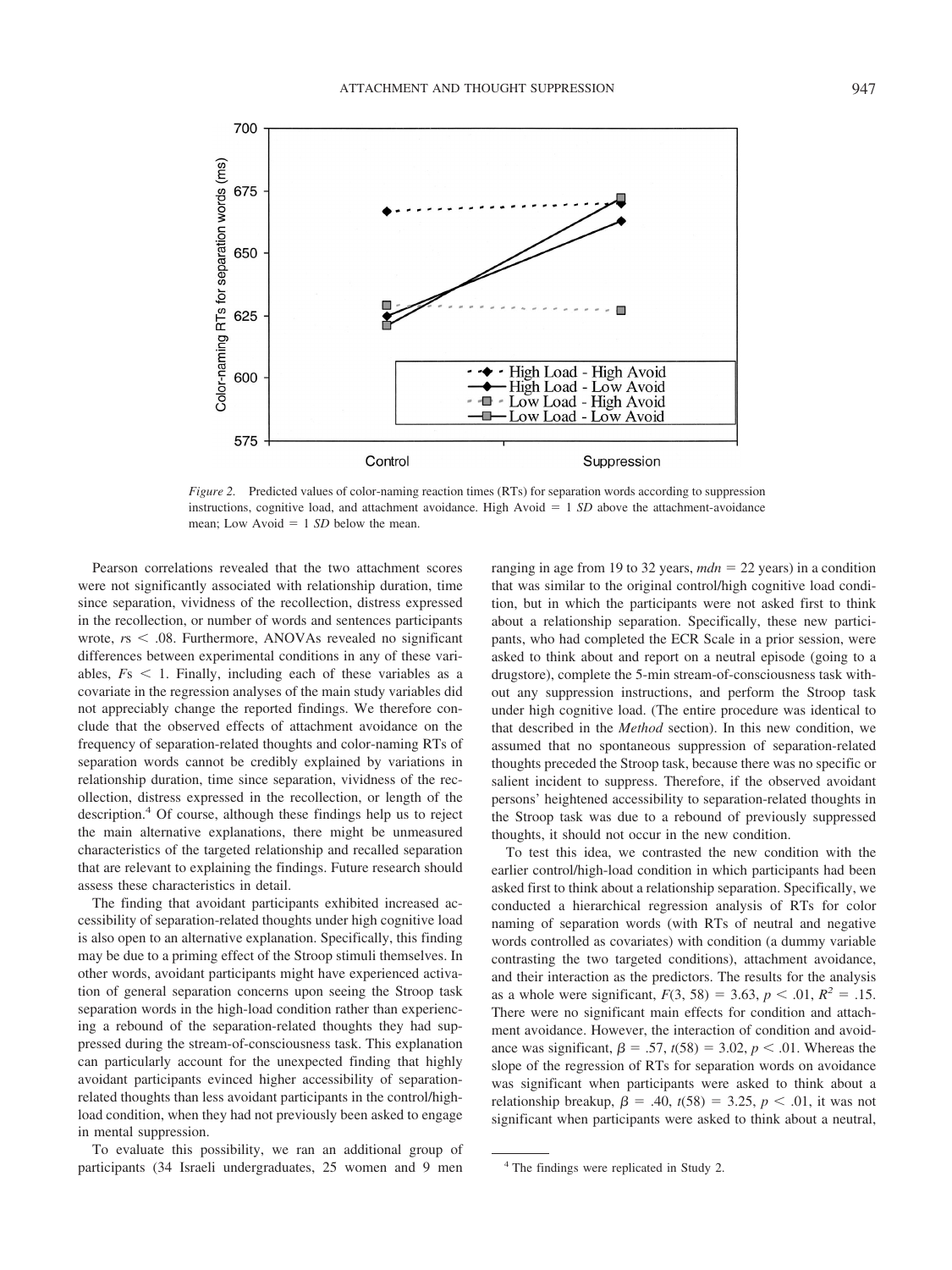

*Figure 2.* Predicted values of color-naming reaction times (RTs) for separation words according to suppression instructions, cognitive load, and attachment avoidance. High Avoid  $= 1$  *SD* above the attachment-avoidance mean; Low Avoid  $= 1$  *SD* below the mean.

Pearson correlations revealed that the two attachment scores were not significantly associated with relationship duration, time since separation, vividness of the recollection, distress expressed in the recollection, or number of words and sentences participants wrote,  $r_s < .08$ . Furthermore, ANOVAs revealed no significant differences between experimental conditions in any of these variables,  $Fs < 1$ . Finally, including each of these variables as a covariate in the regression analyses of the main study variables did not appreciably change the reported findings. We therefore conclude that the observed effects of attachment avoidance on the frequency of separation-related thoughts and color-naming RTs of separation words cannot be credibly explained by variations in relationship duration, time since separation, vividness of the recollection, distress expressed in the recollection, or length of the description.4 Of course, although these findings help us to reject the main alternative explanations, there might be unmeasured characteristics of the targeted relationship and recalled separation that are relevant to explaining the findings. Future research should assess these characteristics in detail.

The finding that avoidant participants exhibited increased accessibility of separation-related thoughts under high cognitive load is also open to an alternative explanation. Specifically, this finding may be due to a priming effect of the Stroop stimuli themselves. In other words, avoidant participants might have experienced activation of general separation concerns upon seeing the Stroop task separation words in the high-load condition rather than experiencing a rebound of the separation-related thoughts they had suppressed during the stream-of-consciousness task. This explanation can particularly account for the unexpected finding that highly avoidant participants evinced higher accessibility of separationrelated thoughts than less avoidant participants in the control/highload condition, when they had not previously been asked to engage in mental suppression.

To evaluate this possibility, we ran an additional group of participants (34 Israeli undergraduates, 25 women and 9 men ranging in age from 19 to 32 years,  $mdn = 22$  years) in a condition that was similar to the original control/high cognitive load condition, but in which the participants were not asked first to think about a relationship separation. Specifically, these new participants, who had completed the ECR Scale in a prior session, were asked to think about and report on a neutral episode (going to a drugstore), complete the 5-min stream-of-consciousness task without any suppression instructions, and perform the Stroop task under high cognitive load. (The entire procedure was identical to that described in the *Method* section). In this new condition, we assumed that no spontaneous suppression of separation-related thoughts preceded the Stroop task, because there was no specific or salient incident to suppress. Therefore, if the observed avoidant persons' heightened accessibility to separation-related thoughts in the Stroop task was due to a rebound of previously suppressed thoughts, it should not occur in the new condition.

To test this idea, we contrasted the new condition with the earlier control/high-load condition in which participants had been asked first to think about a relationship separation. Specifically, we conducted a hierarchical regression analysis of RTs for color naming of separation words (with RTs of neutral and negative words controlled as covariates) with condition (a dummy variable contrasting the two targeted conditions), attachment avoidance, and their interaction as the predictors. The results for the analysis as a whole were significant,  $F(3, 58) = 3.63$ ,  $p < .01$ ,  $R^2 = .15$ . There were no significant main effects for condition and attachment avoidance. However, the interaction of condition and avoidance was significant,  $\beta = .57$ ,  $t(58) = 3.02$ ,  $p < .01$ . Whereas the slope of the regression of RTs for separation words on avoidance was significant when participants were asked to think about a relationship breakup,  $\beta = .40$ ,  $t(58) = 3.25$ ,  $p < .01$ , it was not significant when participants were asked to think about a neutral,

<sup>4</sup> The findings were replicated in Study 2.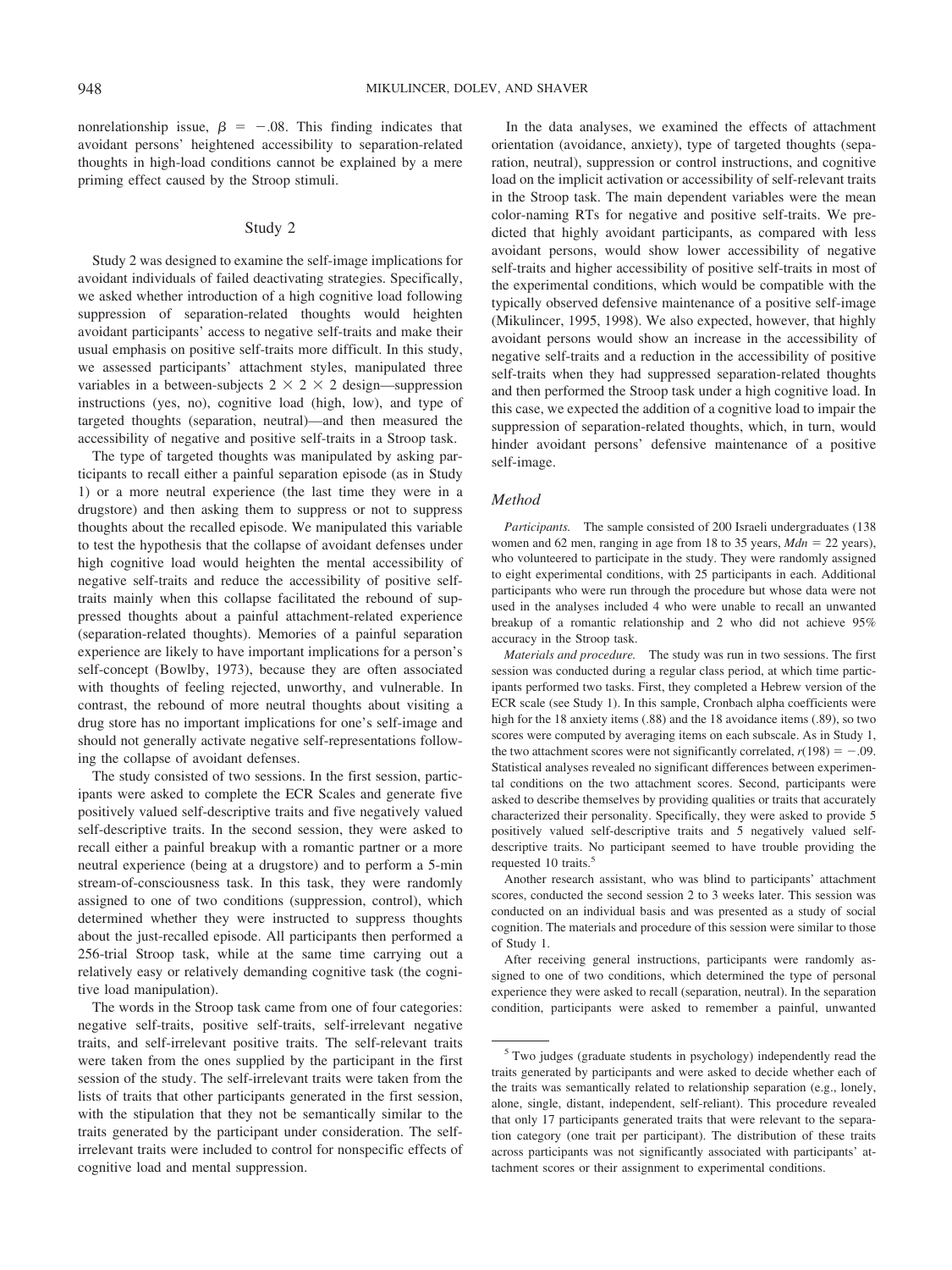nonrelationship issue,  $\beta = -.08$ . This finding indicates that avoidant persons' heightened accessibility to separation-related thoughts in high-load conditions cannot be explained by a mere priming effect caused by the Stroop stimuli.

### Study 2

Study 2 was designed to examine the self-image implications for avoidant individuals of failed deactivating strategies. Specifically, we asked whether introduction of a high cognitive load following suppression of separation-related thoughts would heighten avoidant participants' access to negative self-traits and make their usual emphasis on positive self-traits more difficult. In this study, we assessed participants' attachment styles, manipulated three variables in a between-subjects  $2 \times 2 \times 2$  design—suppression instructions (yes, no), cognitive load (high, low), and type of targeted thoughts (separation, neutral)—and then measured the accessibility of negative and positive self-traits in a Stroop task.

The type of targeted thoughts was manipulated by asking participants to recall either a painful separation episode (as in Study 1) or a more neutral experience (the last time they were in a drugstore) and then asking them to suppress or not to suppress thoughts about the recalled episode. We manipulated this variable to test the hypothesis that the collapse of avoidant defenses under high cognitive load would heighten the mental accessibility of negative self-traits and reduce the accessibility of positive selftraits mainly when this collapse facilitated the rebound of suppressed thoughts about a painful attachment-related experience (separation-related thoughts). Memories of a painful separation experience are likely to have important implications for a person's self-concept (Bowlby, 1973), because they are often associated with thoughts of feeling rejected, unworthy, and vulnerable. In contrast, the rebound of more neutral thoughts about visiting a drug store has no important implications for one's self-image and should not generally activate negative self-representations following the collapse of avoidant defenses.

The study consisted of two sessions. In the first session, participants were asked to complete the ECR Scales and generate five positively valued self-descriptive traits and five negatively valued self-descriptive traits. In the second session, they were asked to recall either a painful breakup with a romantic partner or a more neutral experience (being at a drugstore) and to perform a 5-min stream-of-consciousness task. In this task, they were randomly assigned to one of two conditions (suppression, control), which determined whether they were instructed to suppress thoughts about the just-recalled episode. All participants then performed a 256-trial Stroop task, while at the same time carrying out a relatively easy or relatively demanding cognitive task (the cognitive load manipulation).

The words in the Stroop task came from one of four categories: negative self-traits, positive self-traits, self-irrelevant negative traits, and self-irrelevant positive traits. The self-relevant traits were taken from the ones supplied by the participant in the first session of the study. The self-irrelevant traits were taken from the lists of traits that other participants generated in the first session, with the stipulation that they not be semantically similar to the traits generated by the participant under consideration. The selfirrelevant traits were included to control for nonspecific effects of cognitive load and mental suppression.

In the data analyses, we examined the effects of attachment orientation (avoidance, anxiety), type of targeted thoughts (separation, neutral), suppression or control instructions, and cognitive load on the implicit activation or accessibility of self-relevant traits in the Stroop task. The main dependent variables were the mean color-naming RTs for negative and positive self-traits. We predicted that highly avoidant participants, as compared with less avoidant persons, would show lower accessibility of negative self-traits and higher accessibility of positive self-traits in most of the experimental conditions, which would be compatible with the typically observed defensive maintenance of a positive self-image (Mikulincer, 1995, 1998). We also expected, however, that highly avoidant persons would show an increase in the accessibility of negative self-traits and a reduction in the accessibility of positive self-traits when they had suppressed separation-related thoughts and then performed the Stroop task under a high cognitive load. In this case, we expected the addition of a cognitive load to impair the suppression of separation-related thoughts, which, in turn, would hinder avoidant persons' defensive maintenance of a positive self-image.

## *Method*

*Participants.* The sample consisted of 200 Israeli undergraduates (138 women and 62 men, ranging in age from 18 to 35 years,  $Mdn = 22$  years), who volunteered to participate in the study. They were randomly assigned to eight experimental conditions, with 25 participants in each. Additional participants who were run through the procedure but whose data were not used in the analyses included 4 who were unable to recall an unwanted breakup of a romantic relationship and 2 who did not achieve 95% accuracy in the Stroop task.

*Materials and procedure.* The study was run in two sessions. The first session was conducted during a regular class period, at which time participants performed two tasks. First, they completed a Hebrew version of the ECR scale (see Study 1). In this sample, Cronbach alpha coefficients were high for the 18 anxiety items (.88) and the 18 avoidance items (.89), so two scores were computed by averaging items on each subscale. As in Study 1, the two attachment scores were not significantly correlated,  $r(198) = -.09$ . Statistical analyses revealed no significant differences between experimental conditions on the two attachment scores. Second, participants were asked to describe themselves by providing qualities or traits that accurately characterized their personality. Specifically, they were asked to provide 5 positively valued self-descriptive traits and 5 negatively valued selfdescriptive traits. No participant seemed to have trouble providing the requested 10 traits.<sup>5</sup>

Another research assistant, who was blind to participants' attachment scores, conducted the second session 2 to 3 weeks later. This session was conducted on an individual basis and was presented as a study of social cognition. The materials and procedure of this session were similar to those of Study 1.

After receiving general instructions, participants were randomly assigned to one of two conditions, which determined the type of personal experience they were asked to recall (separation, neutral). In the separation condition, participants were asked to remember a painful, unwanted

<sup>5</sup> Two judges (graduate students in psychology) independently read the traits generated by participants and were asked to decide whether each of the traits was semantically related to relationship separation (e.g., lonely, alone, single, distant, independent, self-reliant). This procedure revealed that only 17 participants generated traits that were relevant to the separation category (one trait per participant). The distribution of these traits across participants was not significantly associated with participants' attachment scores or their assignment to experimental conditions.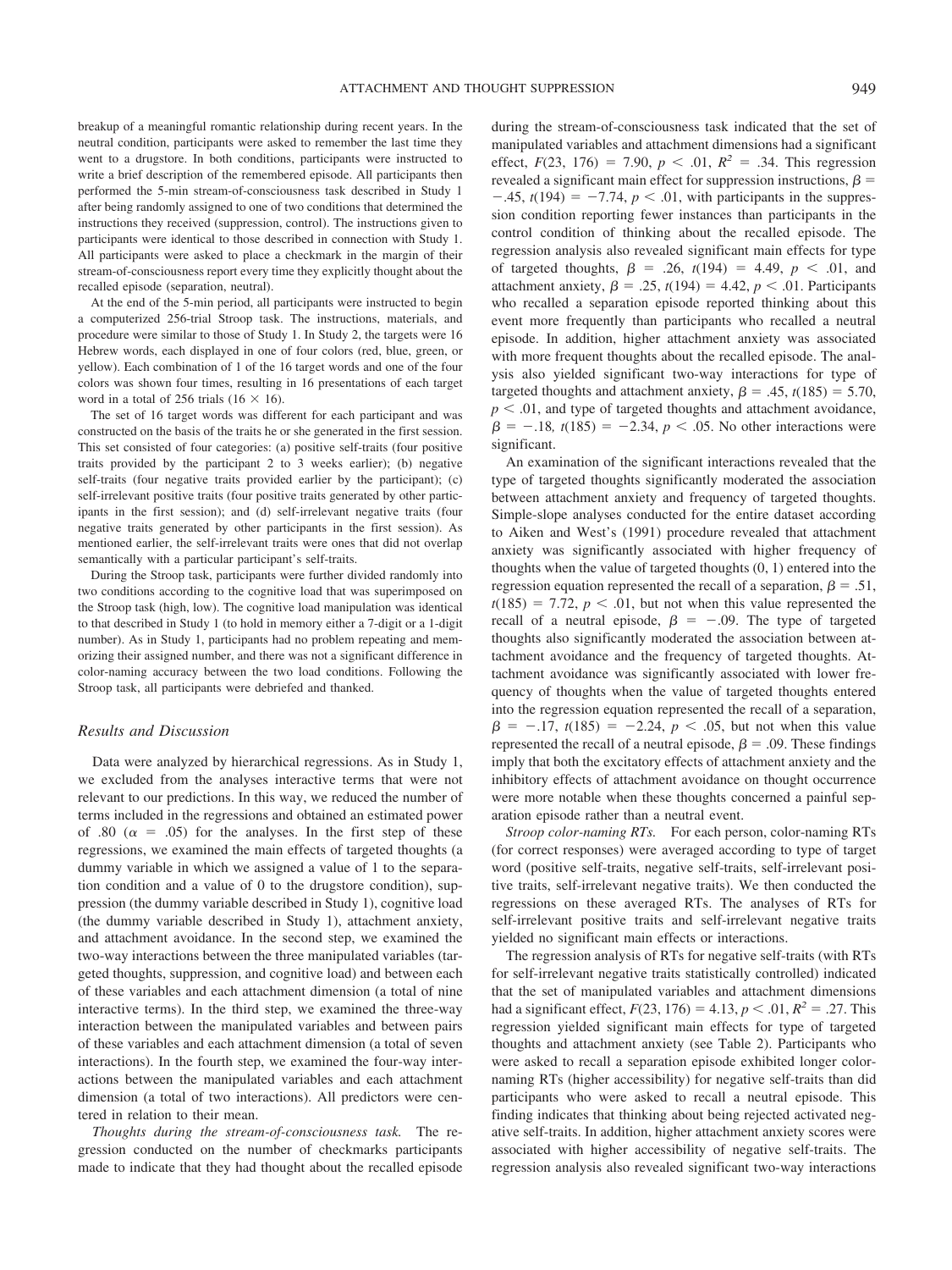breakup of a meaningful romantic relationship during recent years. In the neutral condition, participants were asked to remember the last time they went to a drugstore. In both conditions, participants were instructed to write a brief description of the remembered episode. All participants then performed the 5-min stream-of-consciousness task described in Study 1 after being randomly assigned to one of two conditions that determined the instructions they received (suppression, control). The instructions given to participants were identical to those described in connection with Study 1. All participants were asked to place a checkmark in the margin of their stream-of-consciousness report every time they explicitly thought about the recalled episode (separation, neutral).

At the end of the 5-min period, all participants were instructed to begin a computerized 256-trial Stroop task. The instructions, materials, and procedure were similar to those of Study 1. In Study 2, the targets were 16 Hebrew words, each displayed in one of four colors (red, blue, green, or yellow). Each combination of 1 of the 16 target words and one of the four colors was shown four times, resulting in 16 presentations of each target word in a total of 256 trials (16  $\times$  16).

The set of 16 target words was different for each participant and was constructed on the basis of the traits he or she generated in the first session. This set consisted of four categories: (a) positive self-traits (four positive traits provided by the participant 2 to 3 weeks earlier); (b) negative self-traits (four negative traits provided earlier by the participant); (c) self-irrelevant positive traits (four positive traits generated by other participants in the first session); and (d) self-irrelevant negative traits (four negative traits generated by other participants in the first session). As mentioned earlier, the self-irrelevant traits were ones that did not overlap semantically with a particular participant's self-traits.

During the Stroop task, participants were further divided randomly into two conditions according to the cognitive load that was superimposed on the Stroop task (high, low). The cognitive load manipulation was identical to that described in Study 1 (to hold in memory either a 7-digit or a 1-digit number). As in Study 1, participants had no problem repeating and memorizing their assigned number, and there was not a significant difference in color-naming accuracy between the two load conditions. Following the Stroop task, all participants were debriefed and thanked.

### *Results and Discussion*

Data were analyzed by hierarchical regressions. As in Study 1, we excluded from the analyses interactive terms that were not relevant to our predictions. In this way, we reduced the number of terms included in the regressions and obtained an estimated power of .80 ( $\alpha$  = .05) for the analyses. In the first step of these regressions, we examined the main effects of targeted thoughts (a dummy variable in which we assigned a value of 1 to the separation condition and a value of 0 to the drugstore condition), suppression (the dummy variable described in Study 1), cognitive load (the dummy variable described in Study 1), attachment anxiety, and attachment avoidance. In the second step, we examined the two-way interactions between the three manipulated variables (targeted thoughts, suppression, and cognitive load) and between each of these variables and each attachment dimension (a total of nine interactive terms). In the third step, we examined the three-way interaction between the manipulated variables and between pairs of these variables and each attachment dimension (a total of seven interactions). In the fourth step, we examined the four-way interactions between the manipulated variables and each attachment dimension (a total of two interactions). All predictors were centered in relation to their mean.

*Thoughts during the stream-of-consciousness task.* The regression conducted on the number of checkmarks participants made to indicate that they had thought about the recalled episode during the stream-of-consciousness task indicated that the set of manipulated variables and attachment dimensions had a significant effect,  $F(23, 176) = 7.90$ ,  $p < .01$ ,  $R^2 = .34$ . This regression revealed a significant main effect for suppression instructions,  $\beta$  =  $-0.45$ ,  $t(194) = -7.74$ ,  $p < 0.01$ , with participants in the suppression condition reporting fewer instances than participants in the control condition of thinking about the recalled episode. The regression analysis also revealed significant main effects for type of targeted thoughts,  $\beta = .26$ ,  $t(194) = 4.49$ ,  $p < .01$ , and attachment anxiety,  $\beta = .25$ ,  $t(194) = 4.42$ ,  $p < .01$ . Participants who recalled a separation episode reported thinking about this event more frequently than participants who recalled a neutral episode. In addition, higher attachment anxiety was associated with more frequent thoughts about the recalled episode. The analysis also yielded significant two-way interactions for type of targeted thoughts and attachment anxiety,  $\beta = .45$ ,  $t(185) = 5.70$ ,  $p < .01$ , and type of targeted thoughts and attachment avoidance,  $\beta = -18$ ,  $t(185) = -2.34$ ,  $p < .05$ . No other interactions were significant.

An examination of the significant interactions revealed that the type of targeted thoughts significantly moderated the association between attachment anxiety and frequency of targeted thoughts. Simple-slope analyses conducted for the entire dataset according to Aiken and West's (1991) procedure revealed that attachment anxiety was significantly associated with higher frequency of thoughts when the value of targeted thoughts (0, 1) entered into the regression equation represented the recall of a separation,  $\beta = .51$ ,  $t(185) = 7.72$ ,  $p < .01$ , but not when this value represented the recall of a neutral episode,  $\beta = -.09$ . The type of targeted thoughts also significantly moderated the association between attachment avoidance and the frequency of targeted thoughts. Attachment avoidance was significantly associated with lower frequency of thoughts when the value of targeted thoughts entered into the regression equation represented the recall of a separation,  $\beta = -.17$ ,  $t(185) = -2.24$ ,  $p < .05$ , but not when this value represented the recall of a neutral episode,  $\beta = .09$ . These findings imply that both the excitatory effects of attachment anxiety and the inhibitory effects of attachment avoidance on thought occurrence were more notable when these thoughts concerned a painful separation episode rather than a neutral event.

*Stroop color-naming RTs.* For each person, color-naming RTs (for correct responses) were averaged according to type of target word (positive self-traits, negative self-traits, self-irrelevant positive traits, self-irrelevant negative traits). We then conducted the regressions on these averaged RTs. The analyses of RTs for self-irrelevant positive traits and self-irrelevant negative traits yielded no significant main effects or interactions.

The regression analysis of RTs for negative self-traits (with RTs for self-irrelevant negative traits statistically controlled) indicated that the set of manipulated variables and attachment dimensions had a significant effect,  $F(23, 176) = 4.13$ ,  $p < .01$ ,  $R^2 = .27$ . This regression yielded significant main effects for type of targeted thoughts and attachment anxiety (see Table 2). Participants who were asked to recall a separation episode exhibited longer colornaming RTs (higher accessibility) for negative self-traits than did participants who were asked to recall a neutral episode. This finding indicates that thinking about being rejected activated negative self-traits. In addition, higher attachment anxiety scores were associated with higher accessibility of negative self-traits. The regression analysis also revealed significant two-way interactions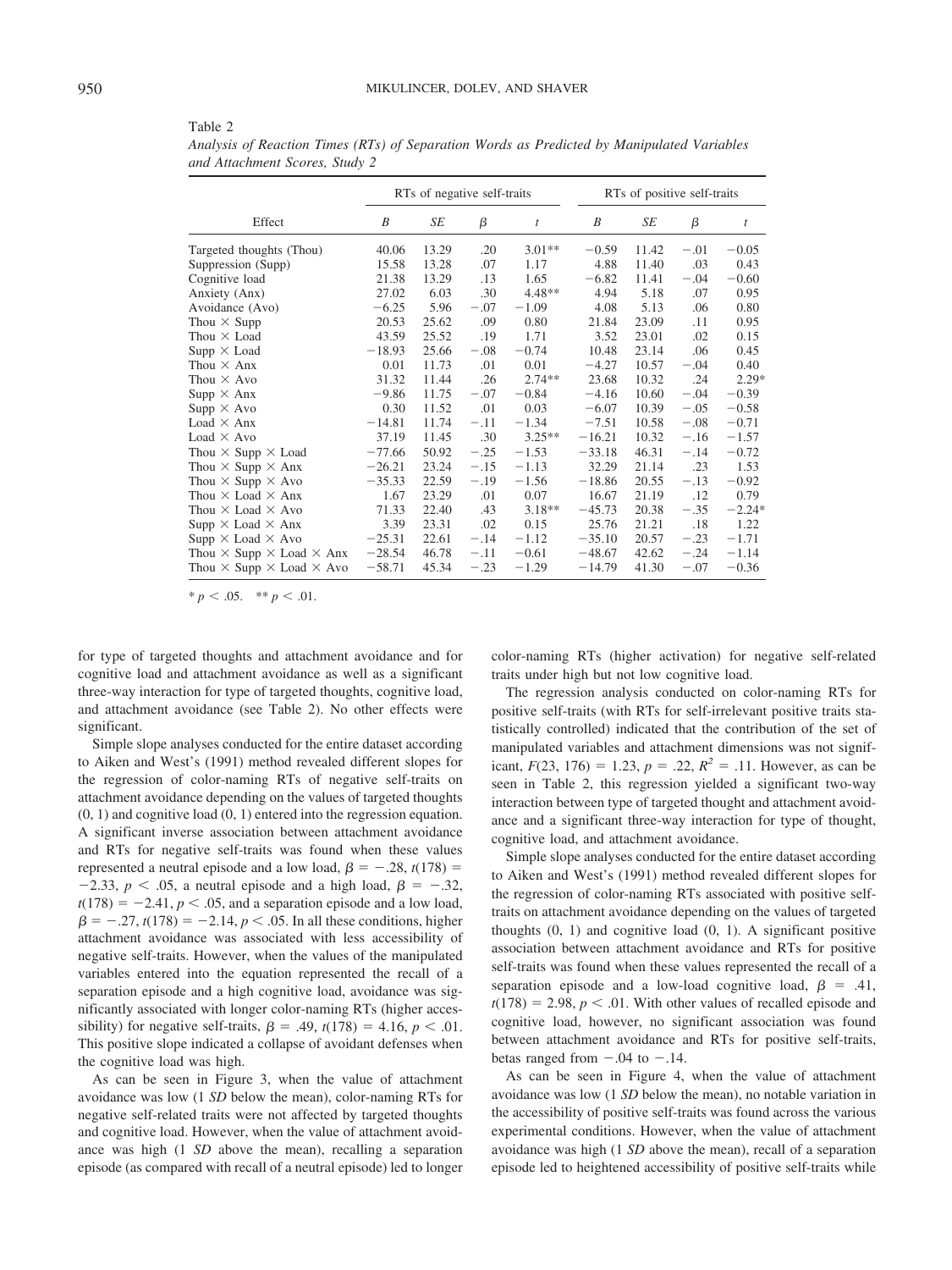Table 2

|                                               | RTs of negative self-traits |       |        |           | RTs of positive self-traits |       |        |          |
|-----------------------------------------------|-----------------------------|-------|--------|-----------|-----------------------------|-------|--------|----------|
| Effect                                        | B                           | SE    | β      | t         | B                           | SE    | β      | t        |
| Targeted thoughts (Thou)                      | 40.06                       | 13.29 | .20    | $3.01**$  | $-0.59$                     | 11.42 | $-.01$ | $-0.05$  |
| Suppression (Supp)                            | 15.58                       | 13.28 | .07    | 1.17      | 4.88                        | 11.40 | .03    | 0.43     |
| Cognitive load                                | 21.38                       | 13.29 | .13    | 1.65      | $-6.82$                     | 11.41 | $-.04$ | $-0.60$  |
| Anxiety (Anx)                                 | 27.02                       | 6.03  | .30    | $4.48**$  | 4.94                        | 5.18  | .07    | 0.95     |
| Avoidance (Avo)                               | $-6.25$                     | 5.96  | $-.07$ | $-1.09$   | 4.08                        | 5.13  | .06    | 0.80     |
| Thou $\times$ Supp                            | 20.53                       | 25.62 | .09    | 0.80      | 21.84                       | 23.09 | .11    | 0.95     |
| Thou $\times$ Load                            | 43.59                       | 25.52 | .19    | 1.71      | 3.52                        | 23.01 | .02    | 0.15     |
| $Supp \times$ Load                            | $-18.93$                    | 25.66 | $-.08$ | $-0.74$   | 10.48                       | 23.14 | .06    | 0.45     |
| Thou $\times$ Anx                             | 0.01                        | 11.73 | .01    | 0.01      | $-4.27$                     | 10.57 | $-.04$ | 0.40     |
| Thou $\times$ Avo                             | 31.32                       | 11.44 | .26    | $2.74**$  | 23.68                       | 10.32 | .24    | $2.29*$  |
| $Supp \times Any$                             | $-9.86$                     | 11.75 | $-.07$ | $-0.84$   | $-4.16$                     | 10.60 | $-.04$ | $-0.39$  |
| $Supp \times Avo$                             | 0.30                        | 11.52 | .01    | 0.03      | $-6.07$                     | 10.39 | $-.05$ | $-0.58$  |
| Load $\times$ Anx                             | $-14.81$                    | 11.74 | $-.11$ | $-1.34$   | $-7.51$                     | 10.58 | $-.08$ | $-0.71$  |
| Load $\times$ Avo                             | 37.19                       | 11.45 | .30    | $3.25***$ | $-16.21$                    | 10.32 | $-.16$ | $-1.57$  |
| Thou $\times$ Supp $\times$ Load              | $-77.66$                    | 50.92 | $-.25$ | $-1.53$   | $-33.18$                    | 46.31 | $-.14$ | $-0.72$  |
| Thou $\times$ Supp $\times$ Anx               | $-26.21$                    | 23.24 | $-.15$ | $-1.13$   | 32.29                       | 21.14 | .23    | 1.53     |
| Thou $\times$ Supp $\times$ Avo               | $-35.33$                    | 22.59 | $-.19$ | $-1.56$   | $-18.86$                    | 20.55 | $-.13$ | $-0.92$  |
| Thou $\times$ Load $\times$ Anx               | 1.67                        | 23.29 | .01    | 0.07      | 16.67                       | 21.19 | .12    | 0.79     |
| Thou $\times$ Load $\times$ Avo               | 71.33                       | 22.40 | .43    | $3.18**$  | $-45.73$                    | 20.38 | $-.35$ | $-2.24*$ |
| $Supp \times$ Load $\times$ Anx               | 3.39                        | 23.31 | .02    | 0.15      | 25.76                       | 21.21 | .18    | 1.22     |
| $Supp \times$ Load $\times$ Avo               | $-25.31$                    | 22.61 | $-.14$ | $-1.12$   | $-35.10$                    | 20.57 | $-.23$ | $-1.71$  |
| Thou $\times$ Sunn $\times$ Load $\times$ Any | $-28.54$                    | 46.78 | $-11$  | $-0.61$   | $-48.67$                    | 4262  | – 24   | $-114$   |

45.34

 $-.23$ 

 $-0.61$   $-48.67$ <br> $-1.29$   $-14.79$ 

 $-1.29$ 

 $-48.67$ 

*Analysis of Reaction Times (RTs) of Separation Words as Predicted by Manipulated Variables and Attachment Scores, Study 2*

 $* p < .05.$  \*\*  $p < .01.$ 

Thou  $\times$  Supp  $\times$  Load  $\times$  Avo

Thou  $\times$  Supp  $\times$  Load  $\times$  Anx -28.54<br>Thou  $\times$  Supp  $\times$  Load  $\times$  Avo -58.71

for type of targeted thoughts and attachment avoidance and for cognitive load and attachment avoidance as well as a significant three-way interaction for type of targeted thoughts, cognitive load, and attachment avoidance (see Table 2). No other effects were significant.

Simple slope analyses conducted for the entire dataset according to Aiken and West's (1991) method revealed different slopes for the regression of color-naming RTs of negative self-traits on attachment avoidance depending on the values of targeted thoughts (0, 1) and cognitive load (0, 1) entered into the regression equation. A significant inverse association between attachment avoidance and RTs for negative self-traits was found when these values represented a neutral episode and a low load,  $\beta = -.28, t(178) =$  $-2.33, p < .05$ , a neutral episode and a high load,  $\beta = -.32$ ,  $t(178) = -2.41$ ,  $p < .05$ , and a separation episode and a low load,  $\beta = -0.27$ ,  $t(178) = -2.14$ ,  $p < 0.05$ . In all these conditions, higher attachment avoidance was associated with less accessibility of negative self-traits. However, when the values of the manipulated variables entered into the equation represented the recall of a separation episode and a high cognitive load, avoidance was significantly associated with longer color-naming RTs (higher accessibility) for negative self-traits,  $\beta = .49$ ,  $t(178) = 4.16$ ,  $p < .01$ . This positive slope indicated a collapse of avoidant defenses when the cognitive load was high.

As can be seen in Figure 3, when the value of attachment avoidance was low (1 *SD* below the mean), color-naming RTs for negative self-related traits were not affected by targeted thoughts and cognitive load. However, when the value of attachment avoidance was high (1 *SD* above the mean), recalling a separation episode (as compared with recall of a neutral episode) led to longer color-naming RTs (higher activation) for negative self-related traits under high but not low cognitive load.

 $-.07$ 

41.30

 $-0.36$ 

The regression analysis conducted on color-naming RTs for positive self-traits (with RTs for self-irrelevant positive traits statistically controlled) indicated that the contribution of the set of manipulated variables and attachment dimensions was not significant,  $F(23, 176) = 1.23$ ,  $p = .22$ ,  $R^2 = .11$ . However, as can be seen in Table 2, this regression yielded a significant two-way interaction between type of targeted thought and attachment avoidance and a significant three-way interaction for type of thought, cognitive load, and attachment avoidance.

Simple slope analyses conducted for the entire dataset according to Aiken and West's (1991) method revealed different slopes for the regression of color-naming RTs associated with positive selftraits on attachment avoidance depending on the values of targeted thoughts  $(0, 1)$  and cognitive load  $(0, 1)$ . A significant positive association between attachment avoidance and RTs for positive self-traits was found when these values represented the recall of a separation episode and a low-load cognitive load,  $\beta = .41$ ,  $t(178) = 2.98$ ,  $p < .01$ . With other values of recalled episode and cognitive load, however, no significant association was found between attachment avoidance and RTs for positive self-traits, betas ranged from  $-.04$  to  $-.14$ .

As can be seen in Figure 4, when the value of attachment avoidance was low (1 *SD* below the mean), no notable variation in the accessibility of positive self-traits was found across the various experimental conditions. However, when the value of attachment avoidance was high (1 *SD* above the mean), recall of a separation episode led to heightened accessibility of positive self-traits while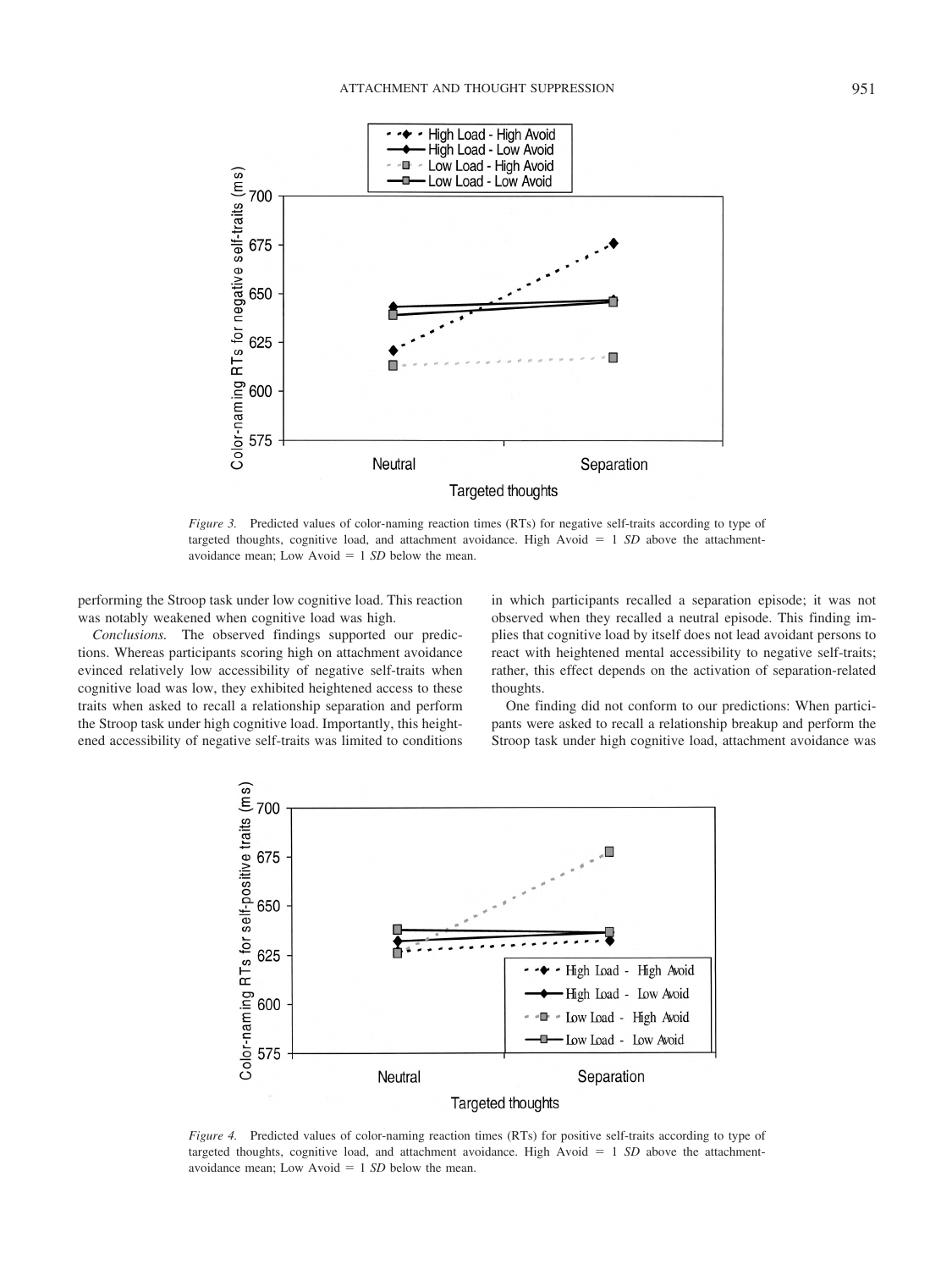

*Figure 3.* Predicted values of color-naming reaction times (RTs) for negative self-traits according to type of targeted thoughts, cognitive load, and attachment avoidance. High Avoid = 1 *SD* above the attachmentavoidance mean; Low Avoid  $= 1$  *SD* below the mean.

performing the Stroop task under low cognitive load. This reaction was notably weakened when cognitive load was high.

*Conclusions.* The observed findings supported our predictions. Whereas participants scoring high on attachment avoidance evinced relatively low accessibility of negative self-traits when cognitive load was low, they exhibited heightened access to these traits when asked to recall a relationship separation and perform the Stroop task under high cognitive load. Importantly, this heightened accessibility of negative self-traits was limited to conditions in which participants recalled a separation episode; it was not observed when they recalled a neutral episode. This finding implies that cognitive load by itself does not lead avoidant persons to react with heightened mental accessibility to negative self-traits; rather, this effect depends on the activation of separation-related thoughts.

One finding did not conform to our predictions: When participants were asked to recall a relationship breakup and perform the Stroop task under high cognitive load, attachment avoidance was



*Figure 4.* Predicted values of color-naming reaction times (RTs) for positive self-traits according to type of targeted thoughts, cognitive load, and attachment avoidance. High Avoid  $= 1$  *SD* above the attachmentavoidance mean; Low Avoid  $= 1 SD$  below the mean.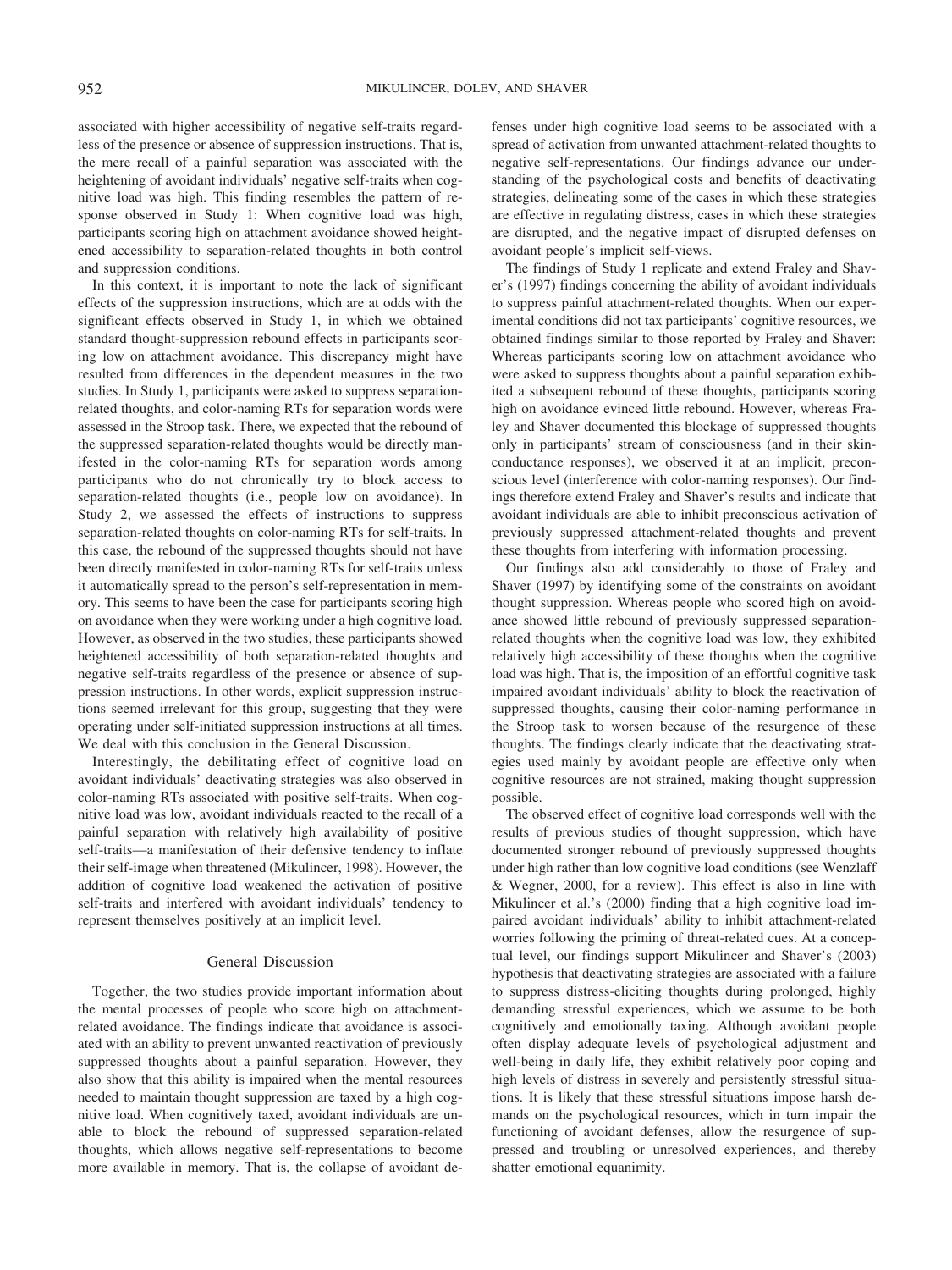associated with higher accessibility of negative self-traits regardless of the presence or absence of suppression instructions. That is, the mere recall of a painful separation was associated with the heightening of avoidant individuals' negative self-traits when cognitive load was high. This finding resembles the pattern of response observed in Study 1: When cognitive load was high, participants scoring high on attachment avoidance showed heightened accessibility to separation-related thoughts in both control and suppression conditions.

In this context, it is important to note the lack of significant effects of the suppression instructions, which are at odds with the significant effects observed in Study 1, in which we obtained standard thought-suppression rebound effects in participants scoring low on attachment avoidance. This discrepancy might have resulted from differences in the dependent measures in the two studies. In Study 1, participants were asked to suppress separationrelated thoughts, and color-naming RTs for separation words were assessed in the Stroop task. There, we expected that the rebound of the suppressed separation-related thoughts would be directly manifested in the color-naming RTs for separation words among participants who do not chronically try to block access to separation-related thoughts (i.e., people low on avoidance). In Study 2, we assessed the effects of instructions to suppress separation-related thoughts on color-naming RTs for self-traits. In this case, the rebound of the suppressed thoughts should not have been directly manifested in color-naming RTs for self-traits unless it automatically spread to the person's self-representation in memory. This seems to have been the case for participants scoring high on avoidance when they were working under a high cognitive load. However, as observed in the two studies, these participants showed heightened accessibility of both separation-related thoughts and negative self-traits regardless of the presence or absence of suppression instructions. In other words, explicit suppression instructions seemed irrelevant for this group, suggesting that they were operating under self-initiated suppression instructions at all times. We deal with this conclusion in the General Discussion.

Interestingly, the debilitating effect of cognitive load on avoidant individuals' deactivating strategies was also observed in color-naming RTs associated with positive self-traits. When cognitive load was low, avoidant individuals reacted to the recall of a painful separation with relatively high availability of positive self-traits—a manifestation of their defensive tendency to inflate their self-image when threatened (Mikulincer, 1998). However, the addition of cognitive load weakened the activation of positive self-traits and interfered with avoidant individuals' tendency to represent themselves positively at an implicit level.

# General Discussion

Together, the two studies provide important information about the mental processes of people who score high on attachmentrelated avoidance. The findings indicate that avoidance is associated with an ability to prevent unwanted reactivation of previously suppressed thoughts about a painful separation. However, they also show that this ability is impaired when the mental resources needed to maintain thought suppression are taxed by a high cognitive load. When cognitively taxed, avoidant individuals are unable to block the rebound of suppressed separation-related thoughts, which allows negative self-representations to become more available in memory. That is, the collapse of avoidant defenses under high cognitive load seems to be associated with a spread of activation from unwanted attachment-related thoughts to negative self-representations. Our findings advance our understanding of the psychological costs and benefits of deactivating strategies, delineating some of the cases in which these strategies are effective in regulating distress, cases in which these strategies are disrupted, and the negative impact of disrupted defenses on avoidant people's implicit self-views.

The findings of Study 1 replicate and extend Fraley and Shaver's (1997) findings concerning the ability of avoidant individuals to suppress painful attachment-related thoughts. When our experimental conditions did not tax participants' cognitive resources, we obtained findings similar to those reported by Fraley and Shaver: Whereas participants scoring low on attachment avoidance who were asked to suppress thoughts about a painful separation exhibited a subsequent rebound of these thoughts, participants scoring high on avoidance evinced little rebound. However, whereas Fraley and Shaver documented this blockage of suppressed thoughts only in participants' stream of consciousness (and in their skinconductance responses), we observed it at an implicit, preconscious level (interference with color-naming responses). Our findings therefore extend Fraley and Shaver's results and indicate that avoidant individuals are able to inhibit preconscious activation of previously suppressed attachment-related thoughts and prevent these thoughts from interfering with information processing.

Our findings also add considerably to those of Fraley and Shaver (1997) by identifying some of the constraints on avoidant thought suppression. Whereas people who scored high on avoidance showed little rebound of previously suppressed separationrelated thoughts when the cognitive load was low, they exhibited relatively high accessibility of these thoughts when the cognitive load was high. That is, the imposition of an effortful cognitive task impaired avoidant individuals' ability to block the reactivation of suppressed thoughts, causing their color-naming performance in the Stroop task to worsen because of the resurgence of these thoughts. The findings clearly indicate that the deactivating strategies used mainly by avoidant people are effective only when cognitive resources are not strained, making thought suppression possible.

The observed effect of cognitive load corresponds well with the results of previous studies of thought suppression, which have documented stronger rebound of previously suppressed thoughts under high rather than low cognitive load conditions (see Wenzlaff & Wegner, 2000, for a review). This effect is also in line with Mikulincer et al.'s (2000) finding that a high cognitive load impaired avoidant individuals' ability to inhibit attachment-related worries following the priming of threat-related cues. At a conceptual level, our findings support Mikulincer and Shaver's (2003) hypothesis that deactivating strategies are associated with a failure to suppress distress-eliciting thoughts during prolonged, highly demanding stressful experiences, which we assume to be both cognitively and emotionally taxing. Although avoidant people often display adequate levels of psychological adjustment and well-being in daily life, they exhibit relatively poor coping and high levels of distress in severely and persistently stressful situations. It is likely that these stressful situations impose harsh demands on the psychological resources, which in turn impair the functioning of avoidant defenses, allow the resurgence of suppressed and troubling or unresolved experiences, and thereby shatter emotional equanimity.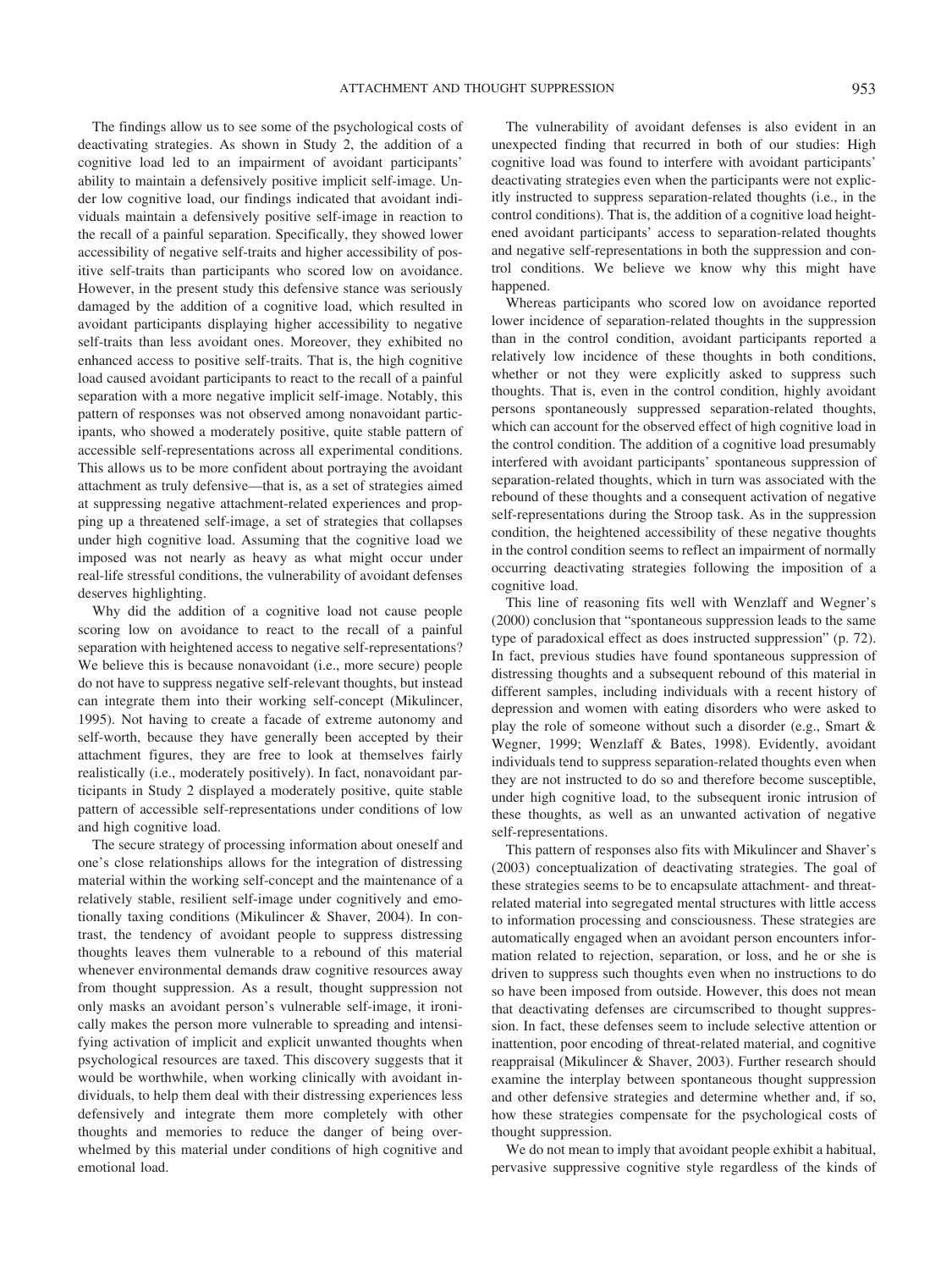The findings allow us to see some of the psychological costs of deactivating strategies. As shown in Study 2, the addition of a cognitive load led to an impairment of avoidant participants' ability to maintain a defensively positive implicit self-image. Under low cognitive load, our findings indicated that avoidant individuals maintain a defensively positive self-image in reaction to the recall of a painful separation. Specifically, they showed lower accessibility of negative self-traits and higher accessibility of positive self-traits than participants who scored low on avoidance. However, in the present study this defensive stance was seriously damaged by the addition of a cognitive load, which resulted in avoidant participants displaying higher accessibility to negative self-traits than less avoidant ones. Moreover, they exhibited no enhanced access to positive self-traits. That is, the high cognitive load caused avoidant participants to react to the recall of a painful separation with a more negative implicit self-image. Notably, this pattern of responses was not observed among nonavoidant participants, who showed a moderately positive, quite stable pattern of accessible self-representations across all experimental conditions. This allows us to be more confident about portraying the avoidant attachment as truly defensive—that is, as a set of strategies aimed at suppressing negative attachment-related experiences and propping up a threatened self-image, a set of strategies that collapses under high cognitive load. Assuming that the cognitive load we imposed was not nearly as heavy as what might occur under real-life stressful conditions, the vulnerability of avoidant defenses deserves highlighting.

Why did the addition of a cognitive load not cause people scoring low on avoidance to react to the recall of a painful separation with heightened access to negative self-representations? We believe this is because nonavoidant (i.e., more secure) people do not have to suppress negative self-relevant thoughts, but instead can integrate them into their working self-concept (Mikulincer, 1995). Not having to create a facade of extreme autonomy and self-worth, because they have generally been accepted by their attachment figures, they are free to look at themselves fairly realistically (i.e., moderately positively). In fact, nonavoidant participants in Study 2 displayed a moderately positive, quite stable pattern of accessible self-representations under conditions of low and high cognitive load.

The secure strategy of processing information about oneself and one's close relationships allows for the integration of distressing material within the working self-concept and the maintenance of a relatively stable, resilient self-image under cognitively and emotionally taxing conditions (Mikulincer & Shaver, 2004). In contrast, the tendency of avoidant people to suppress distressing thoughts leaves them vulnerable to a rebound of this material whenever environmental demands draw cognitive resources away from thought suppression. As a result, thought suppression not only masks an avoidant person's vulnerable self-image, it ironically makes the person more vulnerable to spreading and intensifying activation of implicit and explicit unwanted thoughts when psychological resources are taxed. This discovery suggests that it would be worthwhile, when working clinically with avoidant individuals, to help them deal with their distressing experiences less defensively and integrate them more completely with other thoughts and memories to reduce the danger of being overwhelmed by this material under conditions of high cognitive and emotional load.

The vulnerability of avoidant defenses is also evident in an unexpected finding that recurred in both of our studies: High cognitive load was found to interfere with avoidant participants' deactivating strategies even when the participants were not explicitly instructed to suppress separation-related thoughts (i.e., in the control conditions). That is, the addition of a cognitive load heightened avoidant participants' access to separation-related thoughts and negative self-representations in both the suppression and control conditions. We believe we know why this might have happened.

Whereas participants who scored low on avoidance reported lower incidence of separation-related thoughts in the suppression than in the control condition, avoidant participants reported a relatively low incidence of these thoughts in both conditions, whether or not they were explicitly asked to suppress such thoughts. That is, even in the control condition, highly avoidant persons spontaneously suppressed separation-related thoughts, which can account for the observed effect of high cognitive load in the control condition. The addition of a cognitive load presumably interfered with avoidant participants' spontaneous suppression of separation-related thoughts, which in turn was associated with the rebound of these thoughts and a consequent activation of negative self-representations during the Stroop task. As in the suppression condition, the heightened accessibility of these negative thoughts in the control condition seems to reflect an impairment of normally occurring deactivating strategies following the imposition of a cognitive load.

This line of reasoning fits well with Wenzlaff and Wegner's (2000) conclusion that "spontaneous suppression leads to the same type of paradoxical effect as does instructed suppression" (p. 72). In fact, previous studies have found spontaneous suppression of distressing thoughts and a subsequent rebound of this material in different samples, including individuals with a recent history of depression and women with eating disorders who were asked to play the role of someone without such a disorder (e.g., Smart & Wegner, 1999; Wenzlaff & Bates, 1998). Evidently, avoidant individuals tend to suppress separation-related thoughts even when they are not instructed to do so and therefore become susceptible, under high cognitive load, to the subsequent ironic intrusion of these thoughts, as well as an unwanted activation of negative self-representations.

This pattern of responses also fits with Mikulincer and Shaver's (2003) conceptualization of deactivating strategies. The goal of these strategies seems to be to encapsulate attachment- and threatrelated material into segregated mental structures with little access to information processing and consciousness. These strategies are automatically engaged when an avoidant person encounters information related to rejection, separation, or loss, and he or she is driven to suppress such thoughts even when no instructions to do so have been imposed from outside. However, this does not mean that deactivating defenses are circumscribed to thought suppression. In fact, these defenses seem to include selective attention or inattention, poor encoding of threat-related material, and cognitive reappraisal (Mikulincer & Shaver, 2003). Further research should examine the interplay between spontaneous thought suppression and other defensive strategies and determine whether and, if so, how these strategies compensate for the psychological costs of thought suppression.

We do not mean to imply that avoidant people exhibit a habitual, pervasive suppressive cognitive style regardless of the kinds of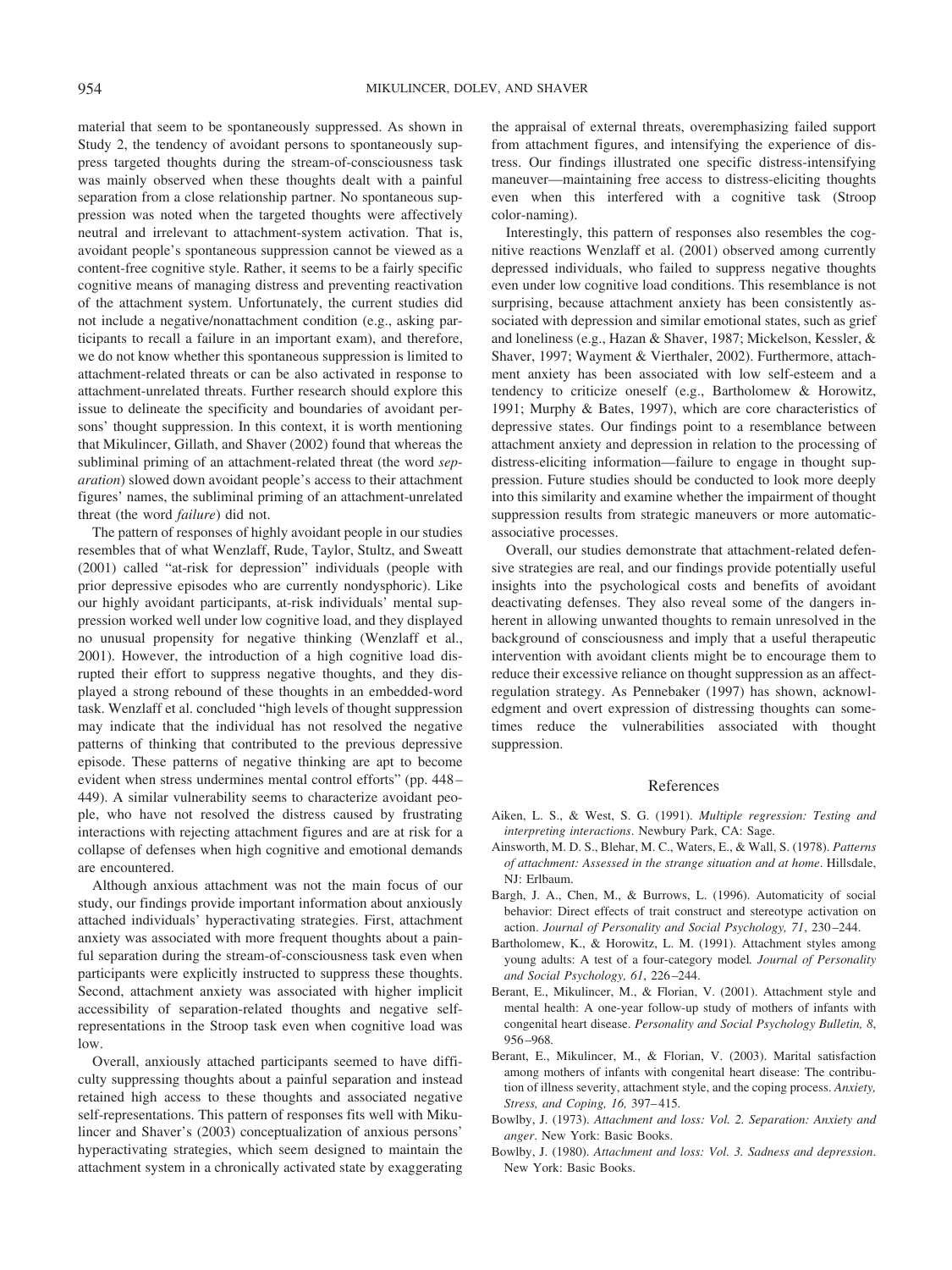material that seem to be spontaneously suppressed. As shown in Study 2, the tendency of avoidant persons to spontaneously suppress targeted thoughts during the stream-of-consciousness task was mainly observed when these thoughts dealt with a painful separation from a close relationship partner. No spontaneous suppression was noted when the targeted thoughts were affectively neutral and irrelevant to attachment-system activation. That is, avoidant people's spontaneous suppression cannot be viewed as a content-free cognitive style. Rather, it seems to be a fairly specific cognitive means of managing distress and preventing reactivation of the attachment system. Unfortunately, the current studies did not include a negative/nonattachment condition (e.g., asking participants to recall a failure in an important exam), and therefore, we do not know whether this spontaneous suppression is limited to attachment-related threats or can be also activated in response to attachment-unrelated threats. Further research should explore this issue to delineate the specificity and boundaries of avoidant persons' thought suppression. In this context, it is worth mentioning that Mikulincer, Gillath, and Shaver (2002) found that whereas the subliminal priming of an attachment-related threat (the word *separation*) slowed down avoidant people's access to their attachment figures' names, the subliminal priming of an attachment-unrelated threat (the word *failure*) did not.

The pattern of responses of highly avoidant people in our studies resembles that of what Wenzlaff, Rude, Taylor, Stultz, and Sweatt (2001) called "at-risk for depression" individuals (people with prior depressive episodes who are currently nondysphoric). Like our highly avoidant participants, at-risk individuals' mental suppression worked well under low cognitive load, and they displayed no unusual propensity for negative thinking (Wenzlaff et al., 2001). However, the introduction of a high cognitive load disrupted their effort to suppress negative thoughts, and they displayed a strong rebound of these thoughts in an embedded-word task. Wenzlaff et al. concluded "high levels of thought suppression may indicate that the individual has not resolved the negative patterns of thinking that contributed to the previous depressive episode. These patterns of negative thinking are apt to become evident when stress undermines mental control efforts" (pp. 448 – 449). A similar vulnerability seems to characterize avoidant people, who have not resolved the distress caused by frustrating interactions with rejecting attachment figures and are at risk for a collapse of defenses when high cognitive and emotional demands are encountered.

Although anxious attachment was not the main focus of our study, our findings provide important information about anxiously attached individuals' hyperactivating strategies. First, attachment anxiety was associated with more frequent thoughts about a painful separation during the stream-of-consciousness task even when participants were explicitly instructed to suppress these thoughts. Second, attachment anxiety was associated with higher implicit accessibility of separation-related thoughts and negative selfrepresentations in the Stroop task even when cognitive load was low.

Overall, anxiously attached participants seemed to have difficulty suppressing thoughts about a painful separation and instead retained high access to these thoughts and associated negative self-representations. This pattern of responses fits well with Mikulincer and Shaver's (2003) conceptualization of anxious persons' hyperactivating strategies, which seem designed to maintain the attachment system in a chronically activated state by exaggerating the appraisal of external threats, overemphasizing failed support from attachment figures, and intensifying the experience of distress. Our findings illustrated one specific distress-intensifying maneuver—maintaining free access to distress-eliciting thoughts even when this interfered with a cognitive task (Stroop color-naming).

Interestingly, this pattern of responses also resembles the cognitive reactions Wenzlaff et al. (2001) observed among currently depressed individuals, who failed to suppress negative thoughts even under low cognitive load conditions. This resemblance is not surprising, because attachment anxiety has been consistently associated with depression and similar emotional states, such as grief and loneliness (e.g., Hazan & Shaver, 1987; Mickelson, Kessler, & Shaver, 1997; Wayment & Vierthaler, 2002). Furthermore, attachment anxiety has been associated with low self-esteem and a tendency to criticize oneself (e.g., Bartholomew & Horowitz, 1991; Murphy & Bates, 1997), which are core characteristics of depressive states. Our findings point to a resemblance between attachment anxiety and depression in relation to the processing of distress-eliciting information—failure to engage in thought suppression. Future studies should be conducted to look more deeply into this similarity and examine whether the impairment of thought suppression results from strategic maneuvers or more automaticassociative processes.

Overall, our studies demonstrate that attachment-related defensive strategies are real, and our findings provide potentially useful insights into the psychological costs and benefits of avoidant deactivating defenses. They also reveal some of the dangers inherent in allowing unwanted thoughts to remain unresolved in the background of consciousness and imply that a useful therapeutic intervention with avoidant clients might be to encourage them to reduce their excessive reliance on thought suppression as an affectregulation strategy. As Pennebaker (1997) has shown, acknowledgment and overt expression of distressing thoughts can sometimes reduce the vulnerabilities associated with thought suppression.

#### References

- Aiken, L. S., & West, S. G. (1991). *Multiple regression: Testing and interpreting interactions*. Newbury Park, CA: Sage.
- Ainsworth, M. D. S., Blehar, M. C., Waters, E., & Wall, S. (1978). *Patterns of attachment: Assessed in the strange situation and at home*. Hillsdale, NJ: Erlbaum.
- Bargh, J. A., Chen, M., & Burrows, L. (1996). Automaticity of social behavior: Direct effects of trait construct and stereotype activation on action. *Journal of Personality and Social Psychology, 71*, 230 –244.
- Bartholomew, K., & Horowitz, L. M. (1991). Attachment styles among young adults: A test of a four-category model*. Journal of Personality and Social Psychology, 61*, 226 –244.
- Berant, E., Mikulincer, M., & Florian, V. (2001). Attachment style and mental health: A one-year follow-up study of mothers of infants with congenital heart disease. *Personality and Social Psychology Bulletin, 8*, 956 –968*.*
- Berant, E., Mikulincer, M., & Florian, V. (2003). Marital satisfaction among mothers of infants with congenital heart disease: The contribution of illness severity, attachment style, and the coping process. *Anxiety, Stress, and Coping, 16,* 397– 415*.*
- Bowlby, J. (1973). *Attachment and loss: Vol. 2. Separation: Anxiety and anger*. New York: Basic Books.
- Bowlby, J. (1980). *Attachment and loss: Vol. 3. Sadness and depression*. New York: Basic Books.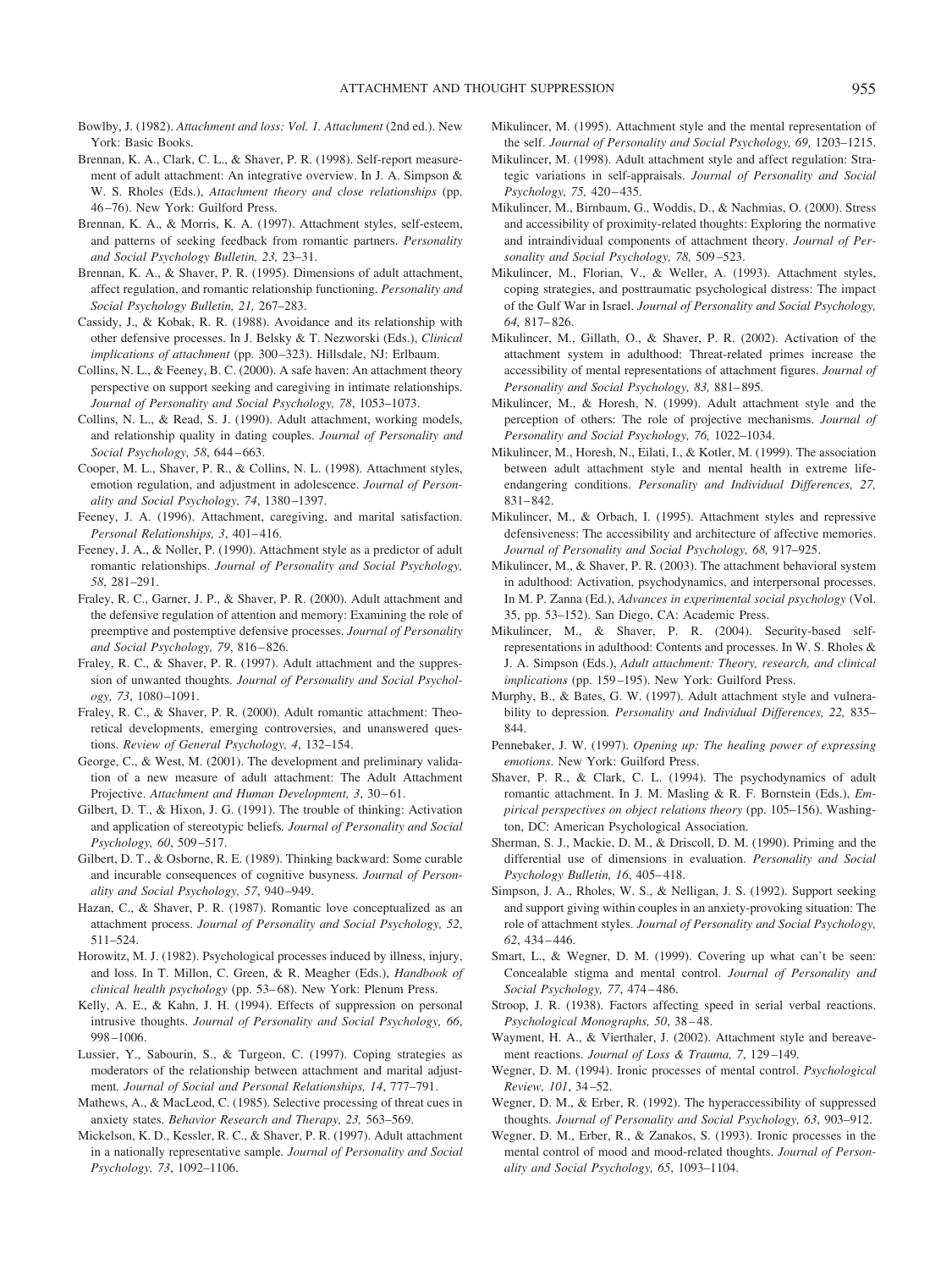- Bowlby, J. (1982). *Attachment and loss: Vol. 1. Attachment* (2nd ed.). New York: Basic Books.
- Brennan, K. A., Clark, C. L., & Shaver, P. R. (1998). Self-report measurement of adult attachment: An integrative overview. In J. A. Simpson & W. S. Rholes (Eds.), *Attachment theory and close relationships* (pp. 46 –76). New York: Guilford Press.
- Brennan, K. A., & Morris, K. A. (1997). Attachment styles, self-esteem, and patterns of seeking feedback from romantic partners. *Personality and Social Psychology Bulletin, 23,* 23–31.
- Brennan, K. A., & Shaver, P. R. (1995). Dimensions of adult attachment, affect regulation, and romantic relationship functioning. *Personality and Social Psychology Bulletin, 21,* 267–283.
- Cassidy, J., & Kobak, R. R. (1988). Avoidance and its relationship with other defensive processes. In J. Belsky & T. Nezworski (Eds.), *Clinical implications of attachment* (pp. 300 –323). Hillsdale, NJ: Erlbaum.
- Collins, N. L., & Feeney, B. C. (2000). A safe haven: An attachment theory perspective on support seeking and caregiving in intimate relationships. *Journal of Personality and Social Psychology, 78*, 1053–1073.
- Collins, N. L., & Read, S. J. (1990). Adult attachment, working models, and relationship quality in dating couples. *Journal of Personality and Social Psychology, 58*, 644 – 663.
- Cooper, M. L., Shaver, P. R., & Collins, N. L. (1998). Attachment styles, emotion regulation, and adjustment in adolescence. *Journal of Personality and Social Psychology, 74*, 1380 –1397.
- Feeney, J. A. (1996). Attachment, caregiving, and marital satisfaction. *Personal Relationships, 3, 401-416.*
- Feeney, J. A., & Noller, P. (1990). Attachment style as a predictor of adult romantic relationships. *Journal of Personality and Social Psychology, 58*, 281–291.
- Fraley, R. C., Garner, J. P., & Shaver, P. R. (2000). Adult attachment and the defensive regulation of attention and memory: Examining the role of preemptive and postemptive defensive processes. *Journal of Personality and Social Psychology, 79*, 816 – 826.
- Fraley, R. C., & Shaver, P. R. (1997). Adult attachment and the suppression of unwanted thoughts. *Journal of Personality and Social Psychology, 73*, 1080 –1091.
- Fraley, R. C., & Shaver, P. R. (2000). Adult romantic attachment: Theoretical developments, emerging controversies, and unanswered questions. *Review of General Psychology, 4*, 132–154.
- George, C., & West, M. (2001). The development and preliminary validation of a new measure of adult attachment: The Adult Attachment Projective. Attachment and Human Development, 3, 30-61.

Gilbert, D. T., & Hixon, J. G. (1991). The trouble of thinking: Activation and application of stereotypic beliefs*. Journal of Personality and Social Psychology, 60*, 509 –517.

- Gilbert, D. T., & Osborne, R. E. (1989). Thinking backward: Some curable and incurable consequences of cognitive busyness. *Journal of Personality and Social Psychology, 57*, 940 –949.
- Hazan, C., & Shaver, P. R. (1987). Romantic love conceptualized as an attachment process. *Journal of Personality and Social Psychology, 52*, 511–524.
- Horowitz, M. J. (1982). Psychological processes induced by illness, injury, and loss. In T. Millon, C. Green, & R. Meagher (Eds.), *Handbook of clinical health psychology* (pp. 53– 68). New York: Plenum Press.
- Kelly, A. E., & Kahn, J. H. (1994). Effects of suppression on personal intrusive thoughts. *Journal of Personality and Social Psychology, 66*, 998 –1006.
- Lussier, Y., Sabourin, S., & Turgeon, C. (1997). Coping strategies as moderators of the relationship between attachment and marital adjustment*. Journal of Social and Personal Relationships, 14*, 777–791.
- Mathews, A., & MacLeod, C. (1985). Selective processing of threat cues in anxiety states. *Behavior Research and Therapy, 23,* 563–569.
- Mickelson, K. D., Kessler, R. C., & Shaver, P. R. (1997). Adult attachment in a nationally representative sample*. Journal of Personality and Social Psychology, 73*, 1092–1106.
- Mikulincer, M. (1995). Attachment style and the mental representation of the self. *Journal of Personality and Social Psychology, 69,* 1203–1215.
- Mikulincer, M. (1998). Adult attachment style and affect regulation: Strategic variations in self-appraisals. *Journal of Personality and Social Psychology, 75,* 420 – 435.
- Mikulincer, M., Birnbaum, G., Woddis, D., & Nachmias, O. (2000). Stress and accessibility of proximity-related thoughts: Exploring the normative and intraindividual components of attachment theory. *Journal of Personality and Social Psychology, 78,* 509 –523.
- Mikulincer, M., Florian, V., & Weller, A. (1993). Attachment styles, coping strategies, and posttraumatic psychological distress: The impact of the Gulf War in Israel. *Journal of Personality and Social Psychology, 64,* 817– 826.
- Mikulincer, M., Gillath, O., & Shaver, P. R. (2002). Activation of the attachment system in adulthood: Threat-related primes increase the accessibility of mental representations of attachment figures. *Journal of Personality and Social Psychology, 83,* 881– 895*.*
- Mikulincer, M., & Horesh, N. (1999). Adult attachment style and the perception of others: The role of projective mechanisms. *Journal of Personality and Social Psychology, 76,* 1022–1034.
- Mikulincer, M., Horesh, N., Eilati, I., & Kotler, M. (1999). The association between adult attachment style and mental health in extreme lifeendangering conditions. *Personality and Individual Differences, 27,* 831– 842.
- Mikulincer, M., & Orbach, I. (1995). Attachment styles and repressive defensiveness: The accessibility and architecture of affective memories. *Journal of Personality and Social Psychology, 68,* 917–925.
- Mikulincer, M., & Shaver, P. R. (2003). The attachment behavioral system in adulthood: Activation, psychodynamics, and interpersonal processes. In M. P. Zanna (Ed.), *Advances in experimental social psychology* (Vol. 35, pp. 53–152). San Diego, CA: Academic Press.
- Mikulincer, M., & Shaver, P. R. (2004). Security-based selfrepresentations in adulthood: Contents and processes. In W. S. Rholes & J. A. Simpson (Eds.), *Adult attachment: Theory, research, and clinical implications* (pp. 159 –195). New York: Guilford Press.
- Murphy, B., & Bates, G. W. (1997). Adult attachment style and vulnerability to depression*. Personality and Individual Differences, 22,* 835– 844.
- Pennebaker, J. W. (1997). *Opening up: The healing power of expressing emotions*. New York: Guilford Press.
- Shaver, P. R., & Clark, C. L. (1994). The psychodynamics of adult romantic attachment. In J. M. Masling & R. F. Bornstein (Eds.), *Empirical perspectives on object relations theory* (pp. 105–156). Washington, DC: American Psychological Association.
- Sherman, S. J., Mackie, D. M., & Driscoll, D. M. (1990). Priming and the differential use of dimensions in evaluation. *Personality and Social Psychology Bulletin, 16*, 405– 418.
- Simpson, J. A., Rholes, W. S., & Nelligan, J. S. (1992). Support seeking and support giving within couples in an anxiety-provoking situation: The role of attachment styles. *Journal of Personality and Social Psychology, 62*, 434 – 446.
- Smart, L., & Wegner, D. M. (1999). Covering up what can't be seen: Concealable stigma and mental control. *Journal of Personality and Social Psychology, 77*, 474 – 486.
- Stroop, J. R. (1938). Factors affecting speed in serial verbal reactions. *Psychological Monographs, 50*, 38 – 48.
- Wayment, H. A., & Vierthaler, J. (2002). Attachment style and bereavement reactions. *Journal of Loss & Trauma, 7*, 129 –149*.*
- Wegner, D. M. (1994). Ironic processes of mental control. *Psychological Review, 101*, 34 –52.
- Wegner, D. M., & Erber, R. (1992). The hyperaccessibility of suppressed thoughts. *Journal of Personality and Social Psychology, 63*, 903–912.
- Wegner, D. M., Erber, R., & Zanakos, S. (1993). Ironic processes in the mental control of mood and mood-related thoughts. *Journal of Personality and Social Psychology, 65*, 1093–1104.